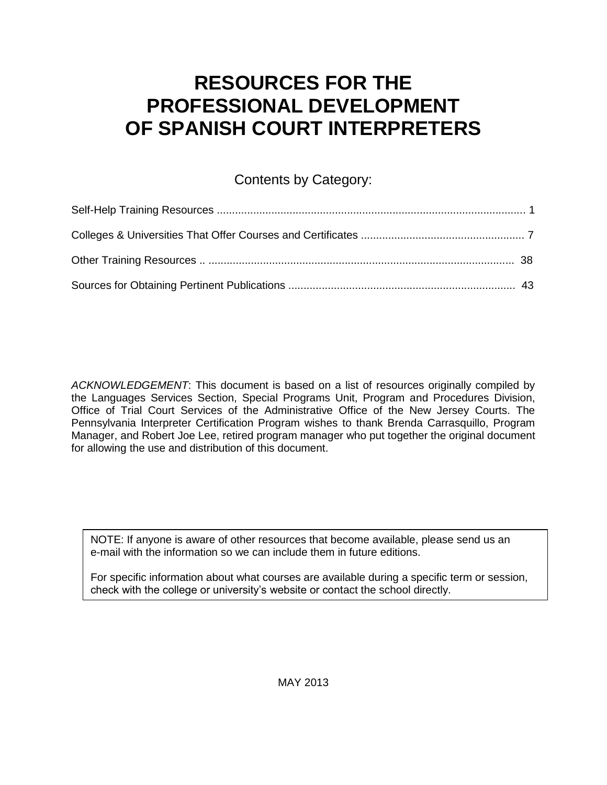# **RESOURCES FOR THE PROFESSIONAL DEVELOPMENT OF SPANISH COURT INTERPRETERS**

## Contents by Category:

*ACKNOWLEDGEMENT*: This document is based on a list of resources originally compiled by the Languages Services Section, Special Programs Unit, Program and Procedures Division, Office of Trial Court Services of the Administrative Office of the New Jersey Courts. The Pennsylvania Interpreter Certification Program wishes to thank Brenda Carrasquillo, Program Manager, and Robert Joe Lee, retired program manager who put together the original document for allowing the use and distribution of this document.

NOTE: If anyone is aware of other resources that become available, please send us an e-mail with the information so we can include them in future editions.

For specific information about what courses are available during a specific term or session, check with the college or university's website or contact the school directly.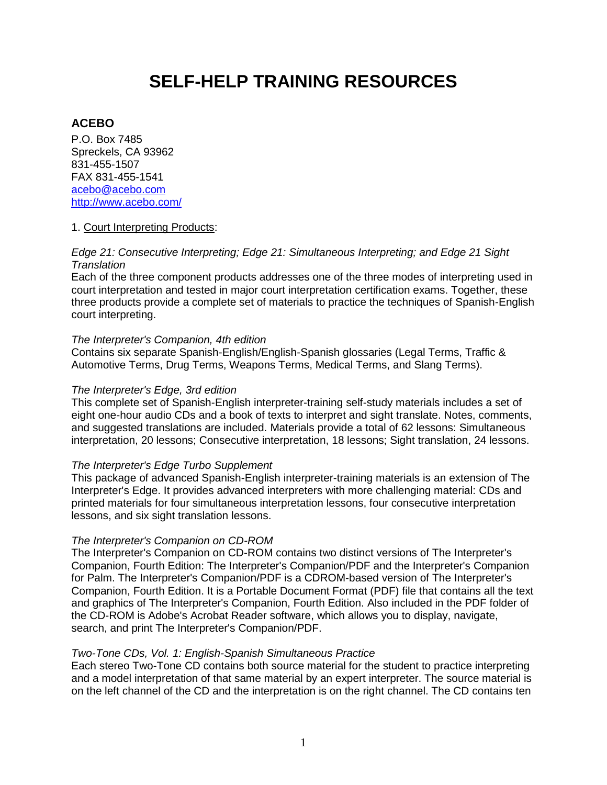# **SELF-HELP TRAINING RESOURCES**

### **ACEBO**

P.O. Box 7485 Spreckels, CA 93962 831-455-1507 FAX 831-455-1541 [acebo@acebo.com](mailto:acebo@acebo.com) <http://www.acebo.com/>

#### 1. Court Interpreting Products:

#### *Edge 21: Consecutive Interpreting; Edge 21: Simultaneous Interpreting; and Edge 21 Sight Translation*

Each of the three component products addresses one of the three modes of interpreting used in court interpretation and tested in major court interpretation certification exams. Together, these three products provide a complete set of materials to practice the techniques of Spanish-English court interpreting.

#### *The Interpreter's Companion, 4th edition*

Contains six separate Spanish-English/English-Spanish glossaries (Legal Terms, Traffic & Automotive Terms, Drug Terms, Weapons Terms, Medical Terms, and Slang Terms).

#### *The Interpreter's Edge, 3rd edition*

This complete set of Spanish-English interpreter-training self-study materials includes a set of eight one-hour audio CDs and a book of texts to interpret and sight translate. Notes, comments, and suggested translations are included. Materials provide a total of 62 lessons: Simultaneous interpretation, 20 lessons; Consecutive interpretation, 18 lessons; Sight translation, 24 lessons.

#### *The Interpreter's Edge Turbo Supplement*

This package of advanced Spanish-English interpreter-training materials is an extension of The Interpreter's Edge. It provides advanced interpreters with more challenging material: CDs and printed materials for four simultaneous interpretation lessons, four consecutive interpretation lessons, and six sight translation lessons.

#### *The Interpreter's Companion on CD-ROM*

The Interpreter's Companion on CD-ROM contains two distinct versions of The Interpreter's Companion, Fourth Edition: The Interpreter's Companion/PDF and the Interpreter's Companion for Palm. The Interpreter's Companion/PDF is a CDROM-based version of The Interpreter's Companion, Fourth Edition. It is a Portable Document Format (PDF) file that contains all the text and graphics of The Interpreter's Companion, Fourth Edition. Also included in the PDF folder of the CD-ROM is Adobe's Acrobat Reader software, which allows you to display, navigate, search, and print The Interpreter's Companion/PDF.

#### *Two-Tone CDs, Vol. 1: English-Spanish Simultaneous Practice*

Each stereo Two-Tone CD contains both source material for the student to practice interpreting and a model interpretation of that same material by an expert interpreter. The source material is on the left channel of the CD and the interpretation is on the right channel. The CD contains ten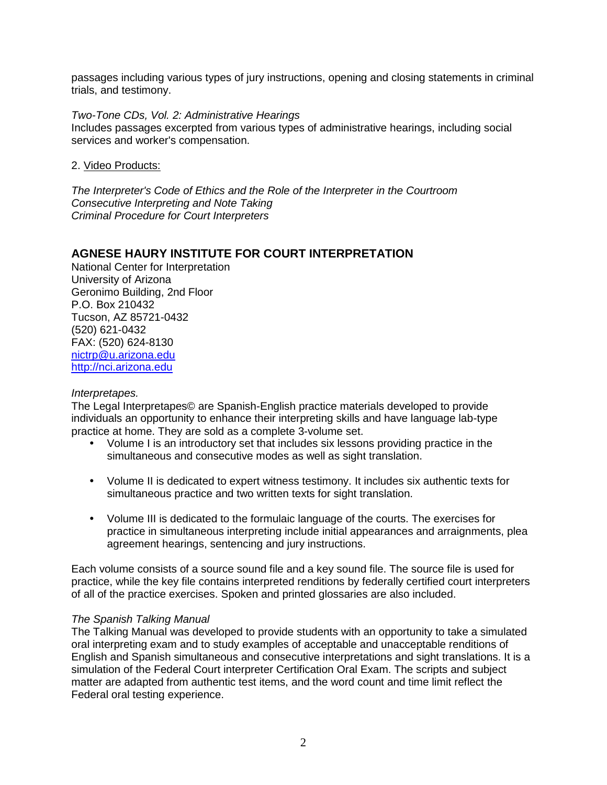passages including various types of jury instructions, opening and closing statements in criminal trials, and testimony.

*Two-Tone CDs, Vol. 2: Administrative Hearings*

Includes passages excerpted from various types of administrative hearings, including social services and worker's compensation.

2. Video Products:

*The Interpreter's Code of Ethics and the Role of the Interpreter in the Courtroom Consecutive Interpreting and Note Taking Criminal Procedure for Court Interpreters*

### **AGNESE HAURY INSTITUTE FOR COURT INTERPRETATION**

National Center for Interpretation University of Arizona Geronimo Building, 2nd Floor P.O. Box 210432 Tucson, AZ 85721-0432 (520) 621-0432 FAX: (520) 624-8130 [nictrp@u.arizona.edu](mailto:nictrp@u.arizona.edu) [http://nci.arizona.edu](http://nci.arizona.edu/)

#### *Interpretapes.*

The Legal Interpretapes© are Spanish-English practice materials developed to provide individuals an opportunity to enhance their interpreting skills and have language lab-type practice at home. They are sold as a complete 3-volume set.

- Volume I is an introductory set that includes six lessons providing practice in the simultaneous and consecutive modes as well as sight translation.
- Volume II is dedicated to expert witness testimony. It includes six authentic texts for simultaneous practice and two written texts for sight translation.
- Volume III is dedicated to the formulaic language of the courts. The exercises for practice in simultaneous interpreting include initial appearances and arraignments, plea agreement hearings, sentencing and jury instructions.

Each volume consists of a source sound file and a key sound file. The source file is used for practice, while the key file contains interpreted renditions by federally certified court interpreters of all of the practice exercises. Spoken and printed glossaries are also included.

#### *The Spanish Talking Manual*

The Talking Manual was developed to provide students with an opportunity to take a simulated oral interpreting exam and to study examples of acceptable and unacceptable renditions of English and Spanish simultaneous and consecutive interpretations and sight translations. It is a simulation of the Federal Court interpreter Certification Oral Exam. The scripts and subject matter are adapted from authentic test items, and the word count and time limit reflect the Federal oral testing experience.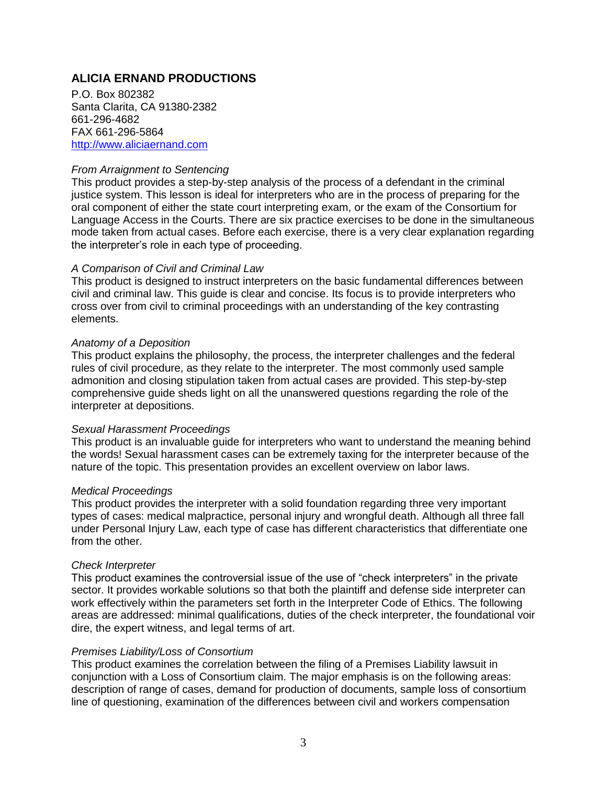## **ALICIA ERNAND PRODUCTIONS**

P.O. Box 802382 Santa Clarita, CA 91380-2382 661-296-4682 FAX 661-296-5864 [http://www.aliciaernand.com](http://www.aliciaernand.com/)

#### *From Arraignment to Sentencing*

This product provides a step-by-step analysis of the process of a defendant in the criminal justice system. This lesson is ideal for interpreters who are in the process of preparing for the oral component of either the state court interpreting exam, or the exam of the Consortium for Language Access in the Courts. There are six practice exercises to be done in the simultaneous mode taken from actual cases. Before each exercise, there is a very clear explanation regarding the interpreter's role in each type of proceeding.

#### *A Comparison of Civil and Criminal Law*

This product is designed to instruct interpreters on the basic fundamental differences between civil and criminal law. This guide is clear and concise. Its focus is to provide interpreters who cross over from civil to criminal proceedings with an understanding of the key contrasting elements.

#### *Anatomy of a Deposition*

This product explains the philosophy, the process, the interpreter challenges and the federal rules of civil procedure, as they relate to the interpreter. The most commonly used sample admonition and closing stipulation taken from actual cases are provided. This step-by-step comprehensive guide sheds light on all the unanswered questions regarding the role of the interpreter at depositions.

#### *Sexual Harassment Proceedings*

This product is an invaluable guide for interpreters who want to understand the meaning behind the words! Sexual harassment cases can be extremely taxing for the interpreter because of the nature of the topic. This presentation provides an excellent overview on labor laws.

#### *Medical Proceedings*

This product provides the interpreter with a solid foundation regarding three very important types of cases: medical malpractice, personal injury and wrongful death. Although all three fall under Personal Injury Law, each type of case has different characteristics that differentiate one from the other.

#### *Check Interpreter*

This product examines the controversial issue of the use of "check interpreters" in the private sector. It provides workable solutions so that both the plaintiff and defense side interpreter can work effectively within the parameters set forth in the Interpreter Code of Ethics. The following areas are addressed: minimal qualifications, duties of the check interpreter, the foundational voir dire, the expert witness, and legal terms of art.

#### *Premises Liability/Loss of Consortium*

This product examines the correlation between the filing of a Premises Liability lawsuit in conjunction with a Loss of Consortium claim. The major emphasis is on the following areas: description of range of cases, demand for production of documents, sample loss of consortium line of questioning, examination of the differences between civil and workers compensation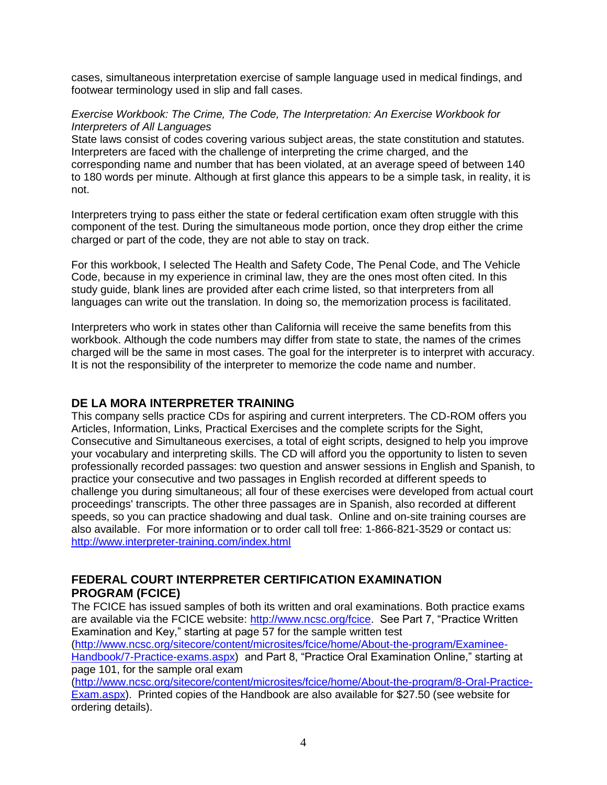cases, simultaneous interpretation exercise of sample language used in medical findings, and footwear terminology used in slip and fall cases.

#### *Exercise Workbook: The Crime, The Code, The Interpretation: An Exercise Workbook for Interpreters of All Languages*

State laws consist of codes covering various subject areas, the state constitution and statutes. Interpreters are faced with the challenge of interpreting the crime charged, and the corresponding name and number that has been violated, at an average speed of between 140 to 180 words per minute. Although at first glance this appears to be a simple task, in reality, it is not.

Interpreters trying to pass either the state or federal certification exam often struggle with this component of the test. During the simultaneous mode portion, once they drop either the crime charged or part of the code, they are not able to stay on track.

For this workbook, I selected The Health and Safety Code, The Penal Code, and The Vehicle Code, because in my experience in criminal law, they are the ones most often cited. In this study guide, blank lines are provided after each crime listed, so that interpreters from all languages can write out the translation. In doing so, the memorization process is facilitated.

Interpreters who work in states other than California will receive the same benefits from this workbook. Although the code numbers may differ from state to state, the names of the crimes charged will be the same in most cases. The goal for the interpreter is to interpret with accuracy. It is not the responsibility of the interpreter to memorize the code name and number.

### **DE LA MORA INTERPRETER TRAINING**

This company sells practice CDs for aspiring and current interpreters. The CD-ROM offers you Articles, Information, Links, Practical Exercises and the complete scripts for the Sight, Consecutive and Simultaneous exercises, a total of eight scripts, designed to help you improve your vocabulary and interpreting skills. The CD will afford you the opportunity to listen to seven professionally recorded passages: two question and answer sessions in English and Spanish, to practice your consecutive and two passages in English recorded at different speeds to challenge you during simultaneous; all four of these exercises were developed from actual court proceedings' transcripts. The other three passages are in Spanish, also recorded at different speeds, so you can practice shadowing and dual task. Online and on-site training courses are also available. For more information or to order call toll free: 1-866-821-3529 or contact us: <http://www.interpreter-training.com/index.html>

## **FEDERAL COURT INTERPRETER CERTIFICATION EXAMINATION PROGRAM (FCICE)**

The FCICE has issued samples of both its written and oral examinations. Both practice exams are available via the FCICE website: [http://www.ncsc.org/fcice.](http://www.ncsc.org/fcice) See Part 7, "Practice Written Examination and Key," starting at page 57 for the sample written test

[\(http://www.ncsc.org/sitecore/content/microsites/fcice/home/About-the-program/Examinee-](http://www.ncsc.org/sitecore/content/microsites/fcice/home/About-the-program/Examinee-Handbook/7-Practice-exams.aspx)[Handbook/7-Practice-exams.aspx\)](http://www.ncsc.org/sitecore/content/microsites/fcice/home/About-the-program/Examinee-Handbook/7-Practice-exams.aspx) and Part 8, "Practice Oral Examination Online," starting at page 101, for the sample oral exam

[\(http://www.ncsc.org/sitecore/content/microsites/fcice/home/About-the-program/8-Oral-Practice-](http://www.ncsc.org/sitecore/content/microsites/fcice/home/About-the-program/8-Oral-Practice-Exam.aspx)[Exam.aspx\)](http://www.ncsc.org/sitecore/content/microsites/fcice/home/About-the-program/8-Oral-Practice-Exam.aspx). Printed copies of the Handbook are also available for \$27.50 (see website for ordering details).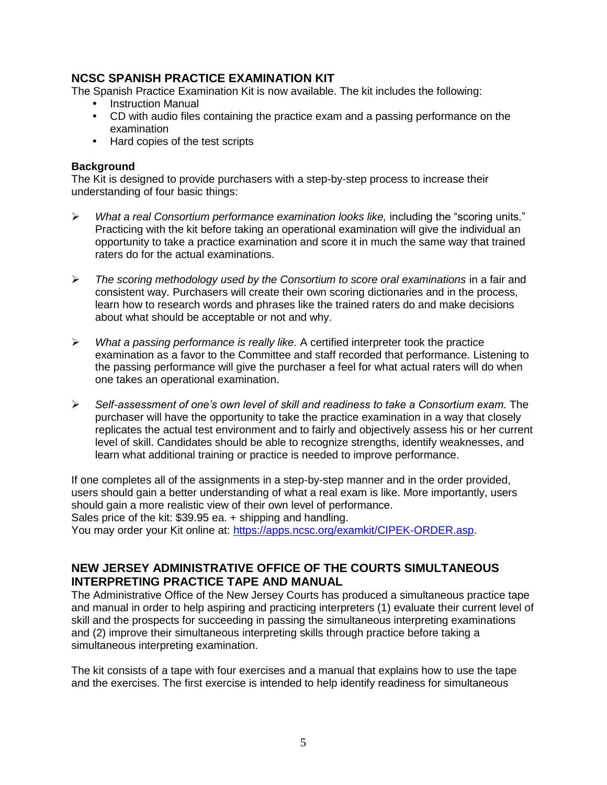### **NCSC SPANISH PRACTICE EXAMINATION KIT**

The Spanish Practice Examination Kit is now available. The kit includes the following:

- Instruction Manual
- CD with audio files containing the practice exam and a passing performance on the examination
- Hard copies of the test scripts

#### **Background**

The Kit is designed to provide purchasers with a step-by-step process to increase their understanding of four basic things:

- *What a real Consortium performance examination looks like,* including the "scoring units." Practicing with the kit before taking an operational examination will give the individual an opportunity to take a practice examination and score it in much the same way that trained raters do for the actual examinations.
- *The scoring methodology used by the Consortium to score oral examinations* in a fair and consistent way. Purchasers will create their own scoring dictionaries and in the process, learn how to research words and phrases like the trained raters do and make decisions about what should be acceptable or not and why.
- *What a passing performance is really like.* A certified interpreter took the practice examination as a favor to the Committee and staff recorded that performance. Listening to the passing performance will give the purchaser a feel for what actual raters will do when one takes an operational examination.
- *Self-assessment of one's own level of skill and readiness to take a Consortium exam.* The purchaser will have the opportunity to take the practice examination in a way that closely replicates the actual test environment and to fairly and objectively assess his or her current level of skill. Candidates should be able to recognize strengths, identify weaknesses, and learn what additional training or practice is needed to improve performance.

If one completes all of the assignments in a step-by-step manner and in the order provided, users should gain a better understanding of what a real exam is like. More importantly, users should gain a more realistic view of their own level of performance. Sales price of the kit: \$39.95 ea. + shipping and handling.

You may order your Kit online at: [https://apps.ncsc.org/examkit/CIPEK-ORDER.asp.](https://apps.ncsc.org/examkit/CIPEK-ORDER.asp)

### **NEW JERSEY ADMINISTRATIVE OFFICE OF THE COURTS SIMULTANEOUS INTERPRETING PRACTICE TAPE AND MANUAL**

The Administrative Office of the New Jersey Courts has produced a simultaneous practice tape and manual in order to help aspiring and practicing interpreters (1) evaluate their current level of skill and the prospects for succeeding in passing the simultaneous interpreting examinations and (2) improve their simultaneous interpreting skills through practice before taking a simultaneous interpreting examination.

The kit consists of a tape with four exercises and a manual that explains how to use the tape and the exercises. The first exercise is intended to help identify readiness for simultaneous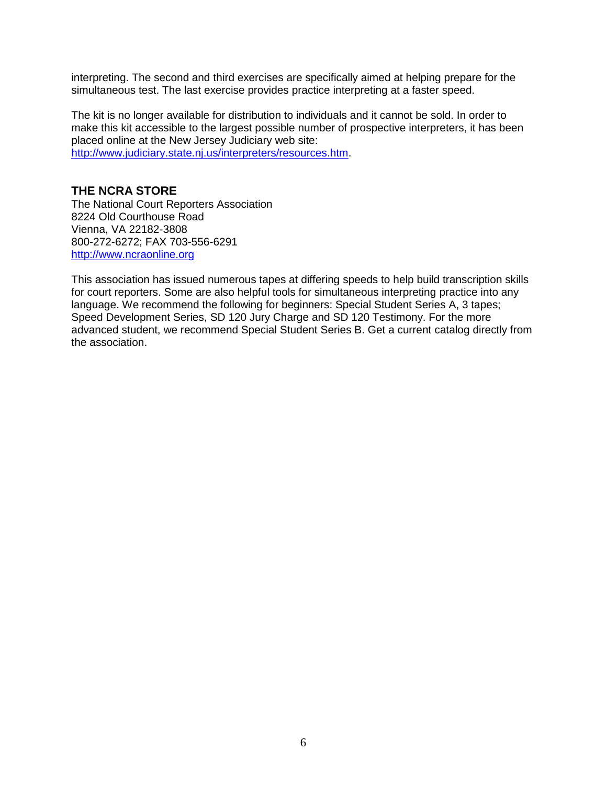interpreting. The second and third exercises are specifically aimed at helping prepare for the simultaneous test. The last exercise provides practice interpreting at a faster speed.

The kit is no longer available for distribution to individuals and it cannot be sold. In order to make this kit accessible to the largest possible number of prospective interpreters, it has been placed online at the New Jersey Judiciary web site:

[http://www.judiciary.state.nj.us/interpreters/resources.htm.](http://www.judiciary.state.nj.us/interpreters/resources.htm)

### **THE NCRA STORE**

The National Court Reporters Association 8224 Old Courthouse Road Vienna, VA 22182-3808 800-272-6272; FAX 703-556-6291 [http://www.ncraonline.org](http://www.ncraonline.org/)

This association has issued numerous tapes at differing speeds to help build transcription skills for court reporters. Some are also helpful tools for simultaneous interpreting practice into any language. We recommend the following for beginners: Special Student Series A, 3 tapes; Speed Development Series, SD 120 Jury Charge and SD 120 Testimony. For the more advanced student, we recommend Special Student Series B. Get a current catalog directly from the association.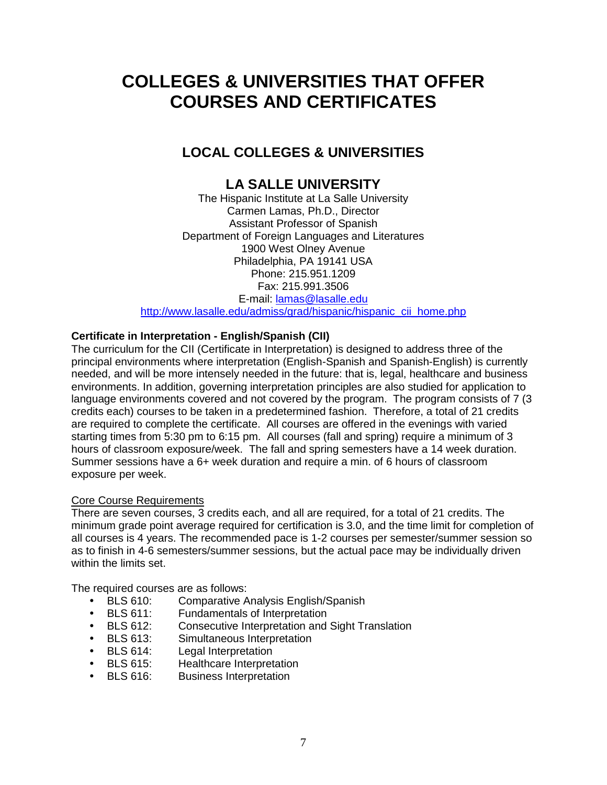# **COLLEGES & UNIVERSITIES THAT OFFER COURSES AND CERTIFICATES**

## **LOCAL COLLEGES & UNIVERSITIES**

## **LA SALLE UNIVERSITY**

The Hispanic Institute at La Salle University Carmen Lamas, Ph.D., Director Assistant Professor of Spanish Department of Foreign Languages and Literatures 1900 West Olney Avenue Philadelphia, PA 19141 USA Phone: 215.951.1209 Fax: 215.991.3506 E-mail: [lamas@lasalle.edu](mailto:lamas@lasalle.edu) [http://www.lasalle.edu/admiss/grad/hispanic/hispanic\\_cii\\_home.php](http://www.lasalle.edu/admiss/grad/hispanic/hispanic_cii_home.php)

### **Certificate in Interpretation - English/Spanish (CII)**

The curriculum for the CII (Certificate in Interpretation) is designed to address three of the principal environments where interpretation (English-Spanish and Spanish-English) is currently needed, and will be more intensely needed in the future: that is, legal, healthcare and business environments. In addition, governing interpretation principles are also studied for application to language environments covered and not covered by the program. The program consists of 7 (3 credits each) courses to be taken in a predetermined fashion. Therefore, a total of 21 credits are required to complete the certificate. All courses are offered in the evenings with varied starting times from 5:30 pm to 6:15 pm. All courses (fall and spring) require a minimum of 3 hours of classroom exposure/week. The fall and spring semesters have a 14 week duration. Summer sessions have a 6+ week duration and require a min. of 6 hours of classroom exposure per week.

### Core Course Requirements

There are seven courses, 3 credits each, and all are required, for a total of 21 credits. The minimum grade point average required for certification is 3.0, and the time limit for completion of all courses is 4 years. The recommended pace is 1-2 courses per semester/summer session so as to finish in 4-6 semesters/summer sessions, but the actual pace may be individually driven within the limits set.

The required courses are as follows:

- BLS 610: Comparative Analysis English/Spanish
- BLS 611: Fundamentals of Interpretation
- BLS 612: Consecutive Interpretation and Sight Translation
- BLS 613: Simultaneous Interpretation
- BLS 614: Legal Interpretation
- BLS 615: Healthcare Interpretation
- BLS 616: Business Interpretation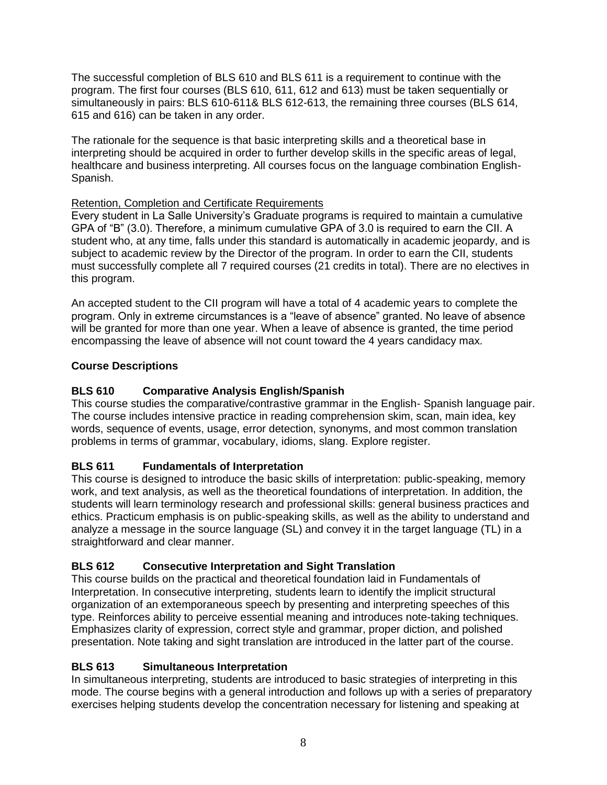The successful completion of BLS 610 and BLS 611 is a requirement to continue with the program. The first four courses (BLS 610, 611, 612 and 613) must be taken sequentially or simultaneously in pairs: BLS 610-611& BLS 612-613, the remaining three courses (BLS 614, 615 and 616) can be taken in any order.

The rationale for the sequence is that basic interpreting skills and a theoretical base in interpreting should be acquired in order to further develop skills in the specific areas of legal, healthcare and business interpreting. All courses focus on the language combination English-Spanish.

### Retention, Completion and Certificate Requirements

Every student in La Salle University's Graduate programs is required to maintain a cumulative GPA of "B" (3.0). Therefore, a minimum cumulative GPA of 3.0 is required to earn the CII. A student who, at any time, falls under this standard is automatically in academic jeopardy, and is subject to academic review by the Director of the program. In order to earn the CII, students must successfully complete all 7 required courses (21 credits in total). There are no electives in this program.

An accepted student to the CII program will have a total of 4 academic years to complete the program. Only in extreme circumstances is a "leave of absence" granted. No leave of absence will be granted for more than one year. When a leave of absence is granted, the time period encompassing the leave of absence will not count toward the 4 years candidacy max.

### **Course Descriptions**

#### **BLS 610 Comparative Analysis English/Spanish**

This course studies the comparative/contrastive grammar in the English- Spanish language pair. The course includes intensive practice in reading comprehension skim, scan, main idea, key words, sequence of events, usage, error detection, synonyms, and most common translation problems in terms of grammar, vocabulary, idioms, slang. Explore register.

### **BLS 611 Fundamentals of Interpretation**

This course is designed to introduce the basic skills of interpretation: public-speaking, memory work, and text analysis, as well as the theoretical foundations of interpretation. In addition, the students will learn terminology research and professional skills: general business practices and ethics. Practicum emphasis is on public-speaking skills, as well as the ability to understand and analyze a message in the source language (SL) and convey it in the target language (TL) in a straightforward and clear manner.

### **BLS 612 Consecutive Interpretation and Sight Translation**

This course builds on the practical and theoretical foundation laid in Fundamentals of Interpretation. In consecutive interpreting, students learn to identify the implicit structural organization of an extemporaneous speech by presenting and interpreting speeches of this type. Reinforces ability to perceive essential meaning and introduces note-taking techniques. Emphasizes clarity of expression, correct style and grammar, proper diction, and polished presentation. Note taking and sight translation are introduced in the latter part of the course.

### **BLS 613 Simultaneous Interpretation**

In simultaneous interpreting, students are introduced to basic strategies of interpreting in this mode. The course begins with a general introduction and follows up with a series of preparatory exercises helping students develop the concentration necessary for listening and speaking at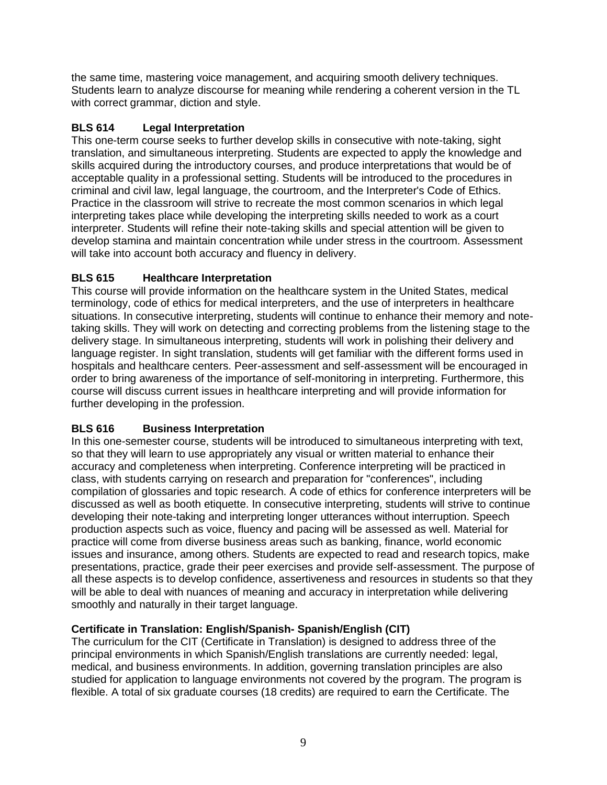the same time, mastering voice management, and acquiring smooth delivery techniques. Students learn to analyze discourse for meaning while rendering a coherent version in the TL with correct grammar, diction and style.

### **BLS 614 Legal Interpretation**

This one-term course seeks to further develop skills in consecutive with note-taking, sight translation, and simultaneous interpreting. Students are expected to apply the knowledge and skills acquired during the introductory courses, and produce interpretations that would be of acceptable quality in a professional setting. Students will be introduced to the procedures in criminal and civil law, legal language, the courtroom, and the Interpreter's Code of Ethics. Practice in the classroom will strive to recreate the most common scenarios in which legal interpreting takes place while developing the interpreting skills needed to work as a court interpreter. Students will refine their note-taking skills and special attention will be given to develop stamina and maintain concentration while under stress in the courtroom. Assessment will take into account both accuracy and fluency in delivery.

## **BLS 615 Healthcare Interpretation**

This course will provide information on the healthcare system in the United States, medical terminology, code of ethics for medical interpreters, and the use of interpreters in healthcare situations. In consecutive interpreting, students will continue to enhance their memory and notetaking skills. They will work on detecting and correcting problems from the listening stage to the delivery stage. In simultaneous interpreting, students will work in polishing their delivery and language register. In sight translation, students will get familiar with the different forms used in hospitals and healthcare centers. Peer-assessment and self-assessment will be encouraged in order to bring awareness of the importance of self-monitoring in interpreting. Furthermore, this course will discuss current issues in healthcare interpreting and will provide information for further developing in the profession.

## **BLS 616 Business Interpretation**

In this one-semester course, students will be introduced to simultaneous interpreting with text, so that they will learn to use appropriately any visual or written material to enhance their accuracy and completeness when interpreting. Conference interpreting will be practiced in class, with students carrying on research and preparation for "conferences", including compilation of glossaries and topic research. A code of ethics for conference interpreters will be discussed as well as booth etiquette. In consecutive interpreting, students will strive to continue developing their note-taking and interpreting longer utterances without interruption. Speech production aspects such as voice, fluency and pacing will be assessed as well. Material for practice will come from diverse business areas such as banking, finance, world economic issues and insurance, among others. Students are expected to read and research topics, make presentations, practice, grade their peer exercises and provide self-assessment. The purpose of all these aspects is to develop confidence, assertiveness and resources in students so that they will be able to deal with nuances of meaning and accuracy in interpretation while delivering smoothly and naturally in their target language.

### **Certificate in Translation: English/Spanish- Spanish/English (CIT)**

The curriculum for the CIT (Certificate in Translation) is designed to address three of the principal environments in which Spanish/English translations are currently needed: legal, medical, and business environments. In addition, governing translation principles are also studied for application to language environments not covered by the program. The program is flexible. A total of six graduate courses (18 credits) are required to earn the Certificate. The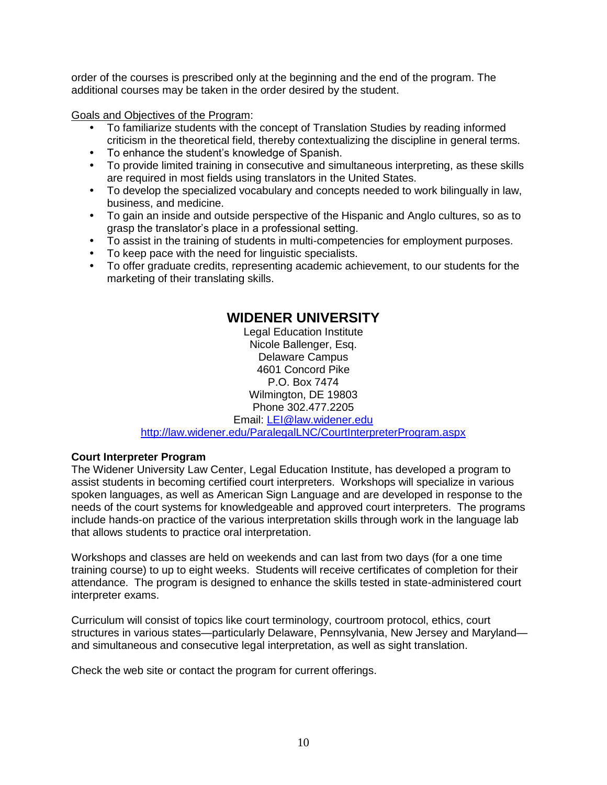order of the courses is prescribed only at the beginning and the end of the program. The additional courses may be taken in the order desired by the student.

Goals and Objectives of the Program:

- To familiarize students with the concept of Translation Studies by reading informed criticism in the theoretical field, thereby contextualizing the discipline in general terms.
- To enhance the student's knowledge of Spanish.
- To provide limited training in consecutive and simultaneous interpreting, as these skills are required in most fields using translators in the United States.
- To develop the specialized vocabulary and concepts needed to work bilingually in law, business, and medicine.
- To gain an inside and outside perspective of the Hispanic and Anglo cultures, so as to grasp the translator's place in a professional setting.
- To assist in the training of students in multi-competencies for employment purposes.
- To keep pace with the need for linguistic specialists.
- To offer graduate credits, representing academic achievement, to our students for the marketing of their translating skills.

## **WIDENER UNIVERSITY**

Legal Education Institute Nicole Ballenger, Esq. Delaware Campus 4601 Concord Pike P.O. Box 7474 Wilmington, DE 19803 Phone 302.477.2205 Email: [LEI@law.widener.edu](mailto:LEI@law.widener.edu) <http://law.widener.edu/ParalegalLNC/CourtInterpreterProgram.aspx>

#### **Court Interpreter Program**

The Widener University Law Center, Legal Education Institute, has developed a program to assist students in becoming certified court interpreters. Workshops will specialize in various spoken languages, as well as American Sign Language and are developed in response to the needs of the court systems for knowledgeable and approved court interpreters. The programs include hands-on practice of the various interpretation skills through work in the language lab that allows students to practice oral interpretation.

Workshops and classes are held on weekends and can last from two days (for a one time training course) to up to eight weeks. Students will receive certificates of completion for their attendance. The program is designed to enhance the skills tested in state-administered court interpreter exams.

Curriculum will consist of topics like court terminology, courtroom protocol, ethics, court structures in various states—particularly Delaware, Pennsylvania, New Jersey and Maryland and simultaneous and consecutive legal interpretation, as well as sight translation.

Check the web site or contact the program for current offerings.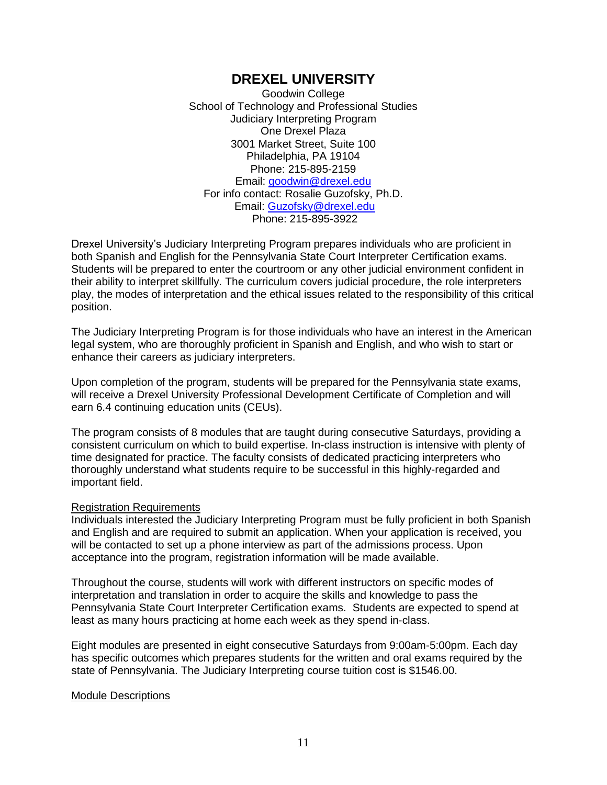## **DREXEL UNIVERSITY**

Goodwin College School of Technology and Professional Studies Judiciary Interpreting Program One Drexel Plaza 3001 Market Street, Suite 100 Philadelphia, PA 19104 Phone: 215-895-2159 Email: [goodwin@drexel.edu](mailto:goodwin@drexel.edu) For info contact: Rosalie Guzofsky, Ph.D. Email: [Guzofsky@drexel.edu](mailto:Guzofsky@drexel.edu) Phone: 215-895-3922

Drexel University's Judiciary Interpreting Program prepares individuals who are proficient in both Spanish and English for the Pennsylvania State Court Interpreter Certification exams. Students will be prepared to enter the courtroom or any other judicial environment confident in their ability to interpret skillfully. The curriculum covers judicial procedure, the role interpreters play, the modes of interpretation and the ethical issues related to the responsibility of this critical position.

The Judiciary Interpreting Program is for those individuals who have an interest in the American legal system, who are thoroughly proficient in Spanish and English, and who wish to start or enhance their careers as judiciary interpreters.

Upon completion of the program, students will be prepared for the Pennsylvania state exams, will receive a Drexel University Professional Development Certificate of Completion and will earn 6.4 continuing education units (CEUs).

The program consists of 8 modules that are taught during consecutive Saturdays, providing a consistent curriculum on which to build expertise. In-class instruction is intensive with plenty of time designated for practice. The faculty consists of dedicated practicing interpreters who thoroughly understand what students require to be successful in this highly-regarded and important field.

#### Registration Requirements

Individuals interested the Judiciary Interpreting Program must be fully proficient in both Spanish and English and are required to submit an application. When your application is received, you will be contacted to set up a phone interview as part of the admissions process. Upon acceptance into the program, registration information will be made available.

Throughout the course, students will work with different instructors on specific modes of interpretation and translation in order to acquire the skills and knowledge to pass the Pennsylvania State Court Interpreter Certification exams. Students are expected to spend at least as many hours practicing at home each week as they spend in-class.

Eight modules are presented in eight consecutive Saturdays from 9:00am-5:00pm. Each day has specific outcomes which prepares students for the written and oral exams required by the state of Pennsylvania. The Judiciary Interpreting course tuition cost is \$1546.00.

#### Module Descriptions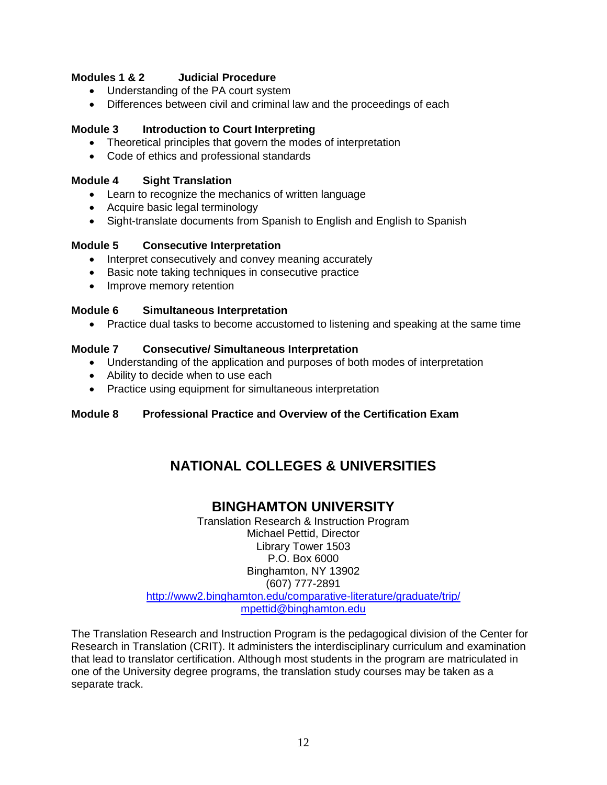#### **Modules 1 & 2 Judicial Procedure**

- Understanding of the PA court system
- Differences between civil and criminal law and the proceedings of each

#### **Module 3 Introduction to Court Interpreting**

- Theoretical principles that govern the modes of interpretation
- Code of ethics and professional standards

#### **Module 4 Sight Translation**

- Learn to recognize the mechanics of written language
- Acquire basic legal terminology
- Sight-translate documents from Spanish to English and English to Spanish

#### **Module 5 Consecutive Interpretation**

- Interpret consecutively and convey meaning accurately
- **Basic note taking techniques in consecutive practice**
- Improve memory retention

#### **Module 6 Simultaneous Interpretation**

Practice dual tasks to become accustomed to listening and speaking at the same time

#### **Module 7 Consecutive/ Simultaneous Interpretation**

- Understanding of the application and purposes of both modes of interpretation
- Ability to decide when to use each
- Practice using equipment for simultaneous interpretation

### **Module 8 Professional Practice and Overview of the Certification Exam**

## **NATIONAL COLLEGES & UNIVERSITIES**

## **BINGHAMTON UNIVERSITY**

Translation Research & Instruction Program Michael Pettid, Director Library Tower 1503 P.O. Box 6000 Binghamton, NY 13902 (607) 777-2891 <http://www2.binghamton.edu/comparative-literature/graduate/trip/> [mpettid@binghamton.edu](mailto:mpettid@binghamton.edu)

The Translation Research and Instruction Program is the pedagogical division of the Center for Research in Translation (CRIT). It administers the interdisciplinary curriculum and examination that lead to translator certification. Although most students in the program are matriculated in one of the University degree programs, the translation study courses may be taken as a separate track.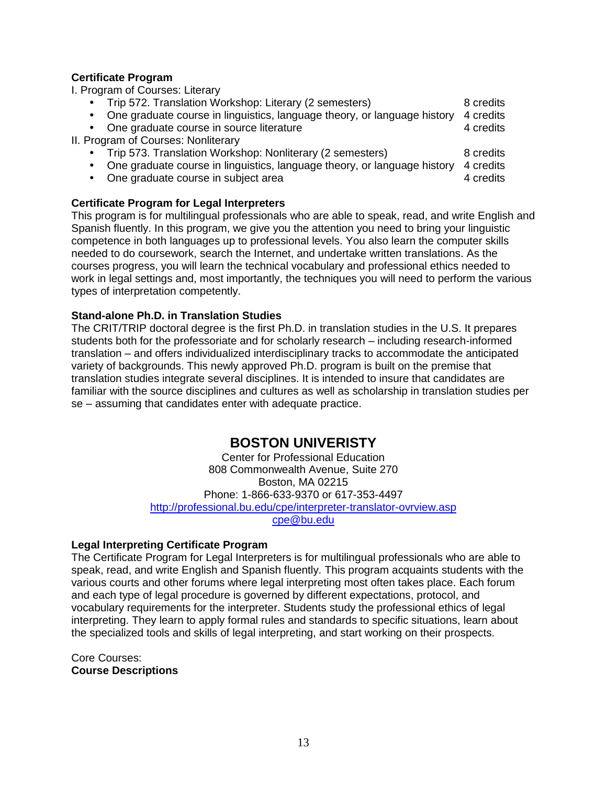#### **Certificate Program**

I. Program of Courses: Literary

| Trip 572. Translation Workshop: Literary (2 semesters)                             | 8 credits |
|------------------------------------------------------------------------------------|-----------|
| One graduate course in linguistics, language theory, or language history 4 credits |           |

- One graduate course in source literature 4 credits 4 credits
- II. Program of Courses: Nonliterary
	- Trip 573. Translation Workshop: Nonliterary (2 semesters) 8 credits
	- One graduate course in linguistics, language theory, or language history 4 credits
	- One graduate course in subject area **4** credits

#### **Certificate Program for Legal Interpreters**

This program is for multilingual professionals who are able to speak, read, and write English and Spanish fluently. In this program, we give you the attention you need to bring your linguistic competence in both languages up to professional levels. You also learn the computer skills needed to do coursework, search the Internet, and undertake written translations. As the courses progress, you will learn the technical vocabulary and professional ethics needed to work in legal settings and, most importantly, the techniques you will need to perform the various types of interpretation competently.

#### **Stand-alone Ph.D. in Translation Studies**

The CRIT/TRIP doctoral degree is the first Ph.D. in translation studies in the U.S. It prepares students both for the professoriate and for scholarly research – including research-informed translation – and offers individualized interdisciplinary tracks to accommodate the anticipated variety of backgrounds. This newly approved Ph.D. program is built on the premise that translation studies integrate several disciplines. It is intended to insure that candidates are familiar with the source disciplines and cultures as well as scholarship in translation studies per se – assuming that candidates enter with adequate practice.

## **BOSTON UNIVERISTY**

Center for Professional Education 808 Commonwealth Avenue, Suite 270 Boston, MA 02215 Phone: 1-866-633-9370 or 617-353-4497 <http://professional.bu.edu/cpe/interpreter-translator-ovrview.asp> [cpe@bu.edu](mailto:cpe@bu.edu)

#### **Legal Interpreting Certificate Program**

The Certificate Program for Legal Interpreters is for multilingual professionals who are able to speak, read, and write English and Spanish fluently. This program acquaints students with the various courts and other forums where legal interpreting most often takes place. Each forum and each type of legal procedure is governed by different expectations, protocol, and vocabulary requirements for the interpreter. Students study the professional ethics of legal interpreting. They learn to apply formal rules and standards to specific situations, learn about the specialized tools and skills of legal interpreting, and start working on their prospects.

Core Courses: **Course Descriptions**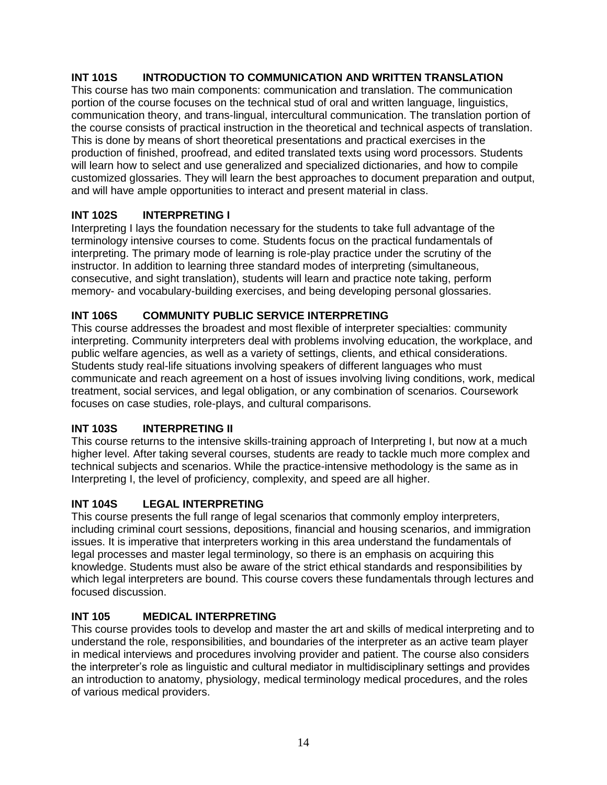### **INT 101S INTRODUCTION TO COMMUNICATION AND WRITTEN TRANSLATION**

This course has two main components: communication and translation. The communication portion of the course focuses on the technical stud of oral and written language, linguistics, communication theory, and trans-lingual, intercultural communication. The translation portion of the course consists of practical instruction in the theoretical and technical aspects of translation. This is done by means of short theoretical presentations and practical exercises in the production of finished, proofread, and edited translated texts using word processors. Students will learn how to select and use generalized and specialized dictionaries, and how to compile customized glossaries. They will learn the best approaches to document preparation and output, and will have ample opportunities to interact and present material in class.

### **INT 102S INTERPRETING I**

Interpreting I lays the foundation necessary for the students to take full advantage of the terminology intensive courses to come. Students focus on the practical fundamentals of interpreting. The primary mode of learning is role-play practice under the scrutiny of the instructor. In addition to learning three standard modes of interpreting (simultaneous, consecutive, and sight translation), students will learn and practice note taking, perform memory- and vocabulary-building exercises, and being developing personal glossaries.

### **INT 106S COMMUNITY PUBLIC SERVICE INTERPRETING**

This course addresses the broadest and most flexible of interpreter specialties: community interpreting. Community interpreters deal with problems involving education, the workplace, and public welfare agencies, as well as a variety of settings, clients, and ethical considerations. Students study real-life situations involving speakers of different languages who must communicate and reach agreement on a host of issues involving living conditions, work, medical treatment, social services, and legal obligation, or any combination of scenarios. Coursework focuses on case studies, role-plays, and cultural comparisons.

### **INT 103S INTERPRETING II**

This course returns to the intensive skills-training approach of Interpreting I, but now at a much higher level. After taking several courses, students are ready to tackle much more complex and technical subjects and scenarios. While the practice-intensive methodology is the same as in Interpreting I, the level of proficiency, complexity, and speed are all higher.

### **INT 104S LEGAL INTERPRETING**

This course presents the full range of legal scenarios that commonly employ interpreters, including criminal court sessions, depositions, financial and housing scenarios, and immigration issues. It is imperative that interpreters working in this area understand the fundamentals of legal processes and master legal terminology, so there is an emphasis on acquiring this knowledge. Students must also be aware of the strict ethical standards and responsibilities by which legal interpreters are bound. This course covers these fundamentals through lectures and focused discussion.

## **INT 105 MEDICAL INTERPRETING**

This course provides tools to develop and master the art and skills of medical interpreting and to understand the role, responsibilities, and boundaries of the interpreter as an active team player in medical interviews and procedures involving provider and patient. The course also considers the interpreter's role as linguistic and cultural mediator in multidisciplinary settings and provides an introduction to anatomy, physiology, medical terminology medical procedures, and the roles of various medical providers.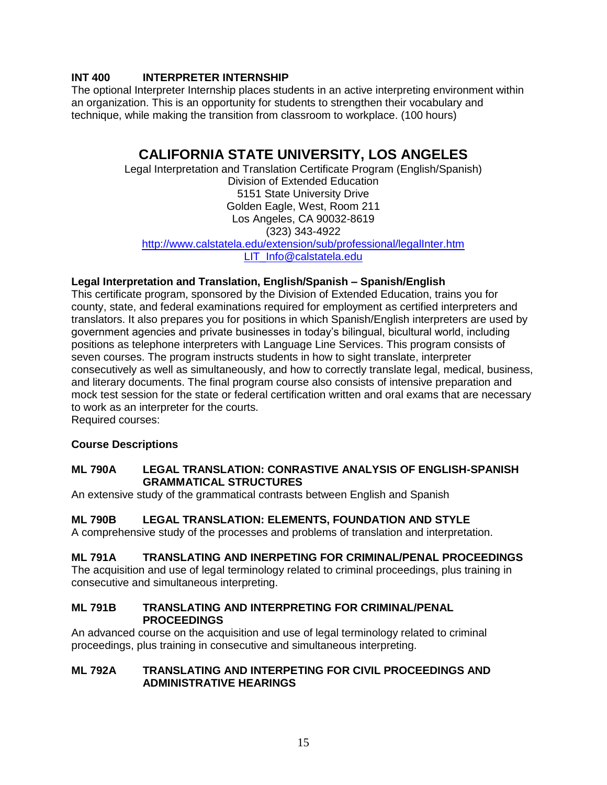### **INT 400 INTERPRETER INTERNSHIP**

The optional Interpreter Internship places students in an active interpreting environment within an organization. This is an opportunity for students to strengthen their vocabulary and technique, while making the transition from classroom to workplace. (100 hours)

## **CALIFORNIA STATE UNIVERSITY, LOS ANGELES**

Legal Interpretation and Translation Certificate Program (English/Spanish) Division of Extended Education 5151 State University Drive Golden Eagle, West, Room 211 Los Angeles, CA 90032-8619 (323) 343-4922 <http://www.calstatela.edu/extension/sub/professional/legalInter.htm> [LIT\\_Info@calstatela.edu](mailto:LIT_Info@calstatela.edu)

### **Legal Interpretation and Translation, English/Spanish – Spanish/English**

This certificate program, sponsored by the Division of Extended Education, trains you for county, state, and federal examinations required for employment as certified interpreters and translators. It also prepares you for positions in which Spanish/English interpreters are used by government agencies and private businesses in today's bilingual, bicultural world, including positions as telephone interpreters with Language Line Services. This program consists of seven courses. The program instructs students in how to sight translate, interpreter consecutively as well as simultaneously, and how to correctly translate legal, medical, business, and literary documents. The final program course also consists of intensive preparation and mock test session for the state or federal certification written and oral exams that are necessary to work as an interpreter for the courts. Required courses:

### **Course Descriptions**

#### **ML 790A LEGAL TRANSLATION: CONRASTIVE ANALYSIS OF ENGLISH-SPANISH GRAMMATICAL STRUCTURES**

An extensive study of the grammatical contrasts between English and Spanish

### **ML 790B LEGAL TRANSLATION: ELEMENTS, FOUNDATION AND STYLE**

A comprehensive study of the processes and problems of translation and interpretation.

#### **ML 791A TRANSLATING AND INERPETING FOR CRIMINAL/PENAL PROCEEDINGS**

The acquisition and use of legal terminology related to criminal proceedings, plus training in consecutive and simultaneous interpreting.

#### **ML 791B TRANSLATING AND INTERPRETING FOR CRIMINAL/PENAL PROCEEDINGS**

An advanced course on the acquisition and use of legal terminology related to criminal proceedings, plus training in consecutive and simultaneous interpreting.

#### **ML 792A TRANSLATING AND INTERPETING FOR CIVIL PROCEEDINGS AND ADMINISTRATIVE HEARINGS**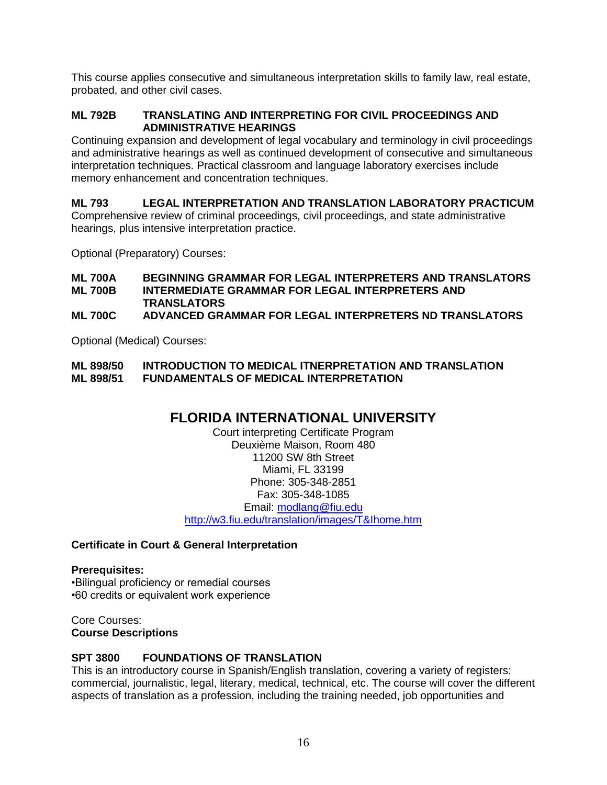This course applies consecutive and simultaneous interpretation skills to family law, real estate, probated, and other civil cases.

#### **ML 792B TRANSLATING AND INTERPRETING FOR CIVIL PROCEEDINGS AND ADMINISTRATIVE HEARINGS**

Continuing expansion and development of legal vocabulary and terminology in civil proceedings and administrative hearings as well as continued development of consecutive and simultaneous interpretation techniques. Practical classroom and language laboratory exercises include memory enhancement and concentration techniques.

**ML 793 LEGAL INTERPRETATION AND TRANSLATION LABORATORY PRACTICUM** Comprehensive review of criminal proceedings, civil proceedings, and state administrative hearings, plus intensive interpretation practice.

Optional (Preparatory) Courses:

#### **ML 700A BEGINNING GRAMMAR FOR LEGAL INTERPRETERS AND TRANSLATORS INTERMEDIATE GRAMMAR FOR LEGAL INTERPRETERS AND TRANSLATORS**

#### **ML 700C ADVANCED GRAMMAR FOR LEGAL INTERPRETERS ND TRANSLATORS**

Optional (Medical) Courses:

#### **ML 898/50 INTRODUCTION TO MEDICAL ITNERPRETATION AND TRANSLATION ML 898/51 FUNDAMENTALS OF MEDICAL INTERPRETATION**

## **FLORIDA INTERNATIONAL UNIVERSITY**

Court interpreting Certificate Program Deuxième Maison, Room 480 11200 SW 8th Street Miami, FL 33199 Phone: 305-348-2851 Fax: 305-348-1085 Email: [modlang@fiu.edu](mailto:modlang@fiu.edu) <http://w3.fiu.edu/translation/images/T&Ihome.htm>

#### **Certificate in Court & General Interpretation**

**Prerequisites:** •Bilingual proficiency or remedial courses •60 credits or equivalent work experience

Core Courses: **Course Descriptions**

#### **SPT 3800 FOUNDATIONS OF TRANSLATION**

This is an introductory course in Spanish/English translation, covering a variety of registers: commercial, journalistic, legal, literary, medical, technical, etc. The course will cover the different aspects of translation as a profession, including the training needed, job opportunities and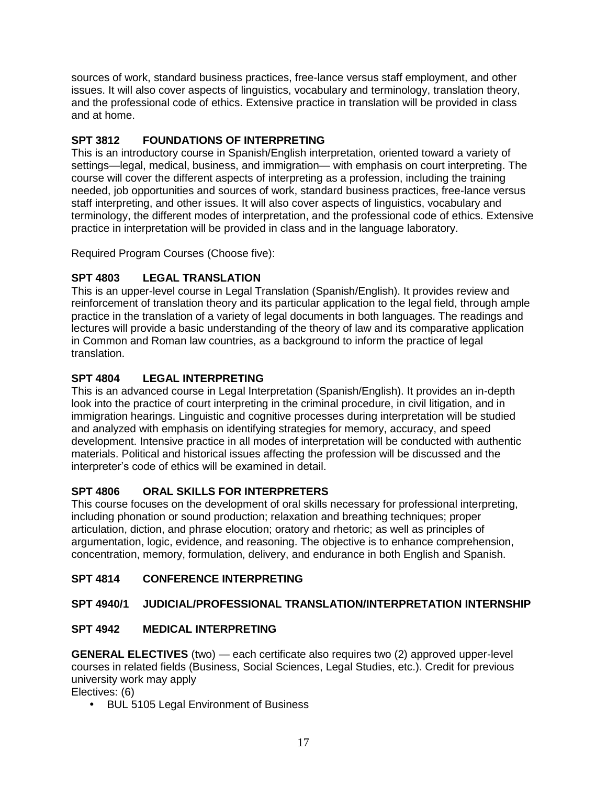sources of work, standard business practices, free-lance versus staff employment, and other issues. It will also cover aspects of linguistics, vocabulary and terminology, translation theory, and the professional code of ethics. Extensive practice in translation will be provided in class and at home.

## **SPT 3812 FOUNDATIONS OF INTERPRETING**

This is an introductory course in Spanish/English interpretation, oriented toward a variety of settings—legal, medical, business, and immigration— with emphasis on court interpreting. The course will cover the different aspects of interpreting as a profession, including the training needed, job opportunities and sources of work, standard business practices, free-lance versus staff interpreting, and other issues. It will also cover aspects of linguistics, vocabulary and terminology, the different modes of interpretation, and the professional code of ethics. Extensive practice in interpretation will be provided in class and in the language laboratory.

Required Program Courses (Choose five):

## **SPT 4803 LEGAL TRANSLATION**

This is an upper-level course in Legal Translation (Spanish/English). It provides review and reinforcement of translation theory and its particular application to the legal field, through ample practice in the translation of a variety of legal documents in both languages. The readings and lectures will provide a basic understanding of the theory of law and its comparative application in Common and Roman law countries, as a background to inform the practice of legal translation.

## **SPT 4804 LEGAL INTERPRETING**

This is an advanced course in Legal Interpretation (Spanish/English). It provides an in-depth look into the practice of court interpreting in the criminal procedure, in civil litigation, and in immigration hearings. Linguistic and cognitive processes during interpretation will be studied and analyzed with emphasis on identifying strategies for memory, accuracy, and speed development. Intensive practice in all modes of interpretation will be conducted with authentic materials. Political and historical issues affecting the profession will be discussed and the interpreter's code of ethics will be examined in detail.

## **SPT 4806 ORAL SKILLS FOR INTERPRETERS**

This course focuses on the development of oral skills necessary for professional interpreting, including phonation or sound production; relaxation and breathing techniques; proper articulation, diction, and phrase elocution; oratory and rhetoric; as well as principles of argumentation, logic, evidence, and reasoning. The objective is to enhance comprehension, concentration, memory, formulation, delivery, and endurance in both English and Spanish.

## **SPT 4814 CONFERENCE INTERPRETING**

## **SPT 4940/1 JUDICIAL/PROFESSIONAL TRANSLATION/INTERPRETATION INTERNSHIP**

## **SPT 4942 MEDICAL INTERPRETING**

**GENERAL ELECTIVES** (two) — each certificate also requires two (2) approved upper-level courses in related fields (Business, Social Sciences, Legal Studies, etc.). Credit for previous university work may apply

Electives: (6)

BUL 5105 Legal Environment of Business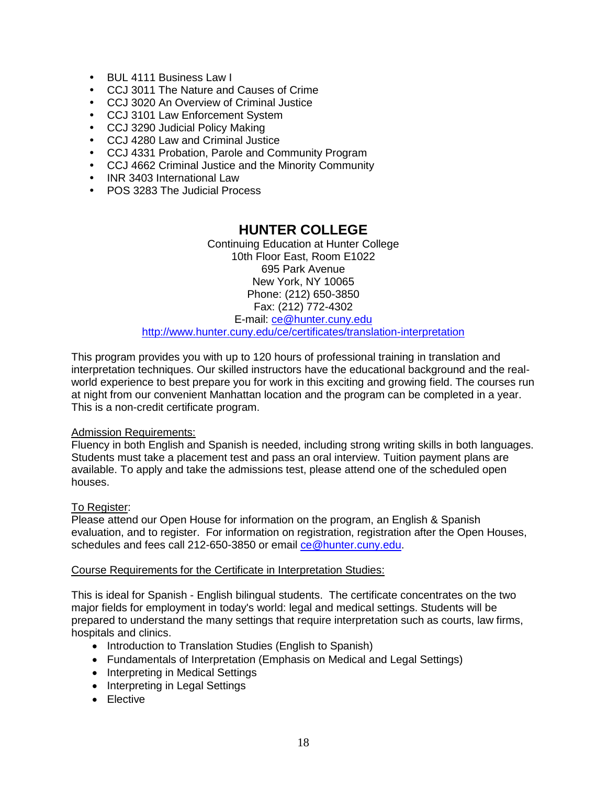- BUL 4111 Business Law I
- CCJ 3011 The Nature and Causes of Crime
- CCJ 3020 An Overview of Criminal Justice
- CCJ 3101 Law Enforcement System
- CCJ 3290 Judicial Policy Making
- CCJ 4280 Law and Criminal Justice
- CCJ 4331 Probation, Parole and Community Program
- CCJ 4662 Criminal Justice and the Minority Community
- INR 3403 International Law
- POS 3283 The Judicial Process

## **HUNTER COLLEGE**

Continuing Education at Hunter College 10th Floor East, Room E1022 695 Park Avenue New York, NY 10065 Phone: (212) 650-3850 Fax: (212) 772-4302 E-mail: [ce@hunter.cuny.edu](mailto:ce@hunter.cuny.edu)

<http://www.hunter.cuny.edu/ce/certificates/translation-interpretation>

This program provides you with up to 120 hours of professional training in translation and interpretation techniques. Our skilled instructors have the educational background and the realworld experience to best prepare you for work in this exciting and growing field. The courses run at night from our convenient Manhattan location and the program can be completed in a year. This is a non-credit certificate program.

#### Admission Requirements:

Fluency in both English and Spanish is needed, including strong writing skills in both languages. Students must take a placement test and pass an oral interview. Tuition payment plans are available. To apply and take the admissions test, please attend one of the scheduled open houses.

#### To Register:

Please attend our Open House for information on the program, an English & Spanish evaluation, and to register. For information on registration, registration after the Open Houses, schedules and fees call 212-650-3850 or email [ce@hunter.cuny.edu.](mailto:ce@hunter.cuny.edu)

#### Course Requirements for the Certificate in Interpretation Studies:

This is ideal for Spanish - English bilingual students. The certificate concentrates on the two major fields for employment in today's world: legal and medical settings. Students will be prepared to understand the many settings that require interpretation such as courts, law firms, hospitals and clinics.

- Introduction to Translation Studies (English to Spanish)
- Fundamentals of Interpretation (Emphasis on Medical and Legal Settings)
- Interpreting in Medical Settings
- Interpreting in Legal Settings
- Elective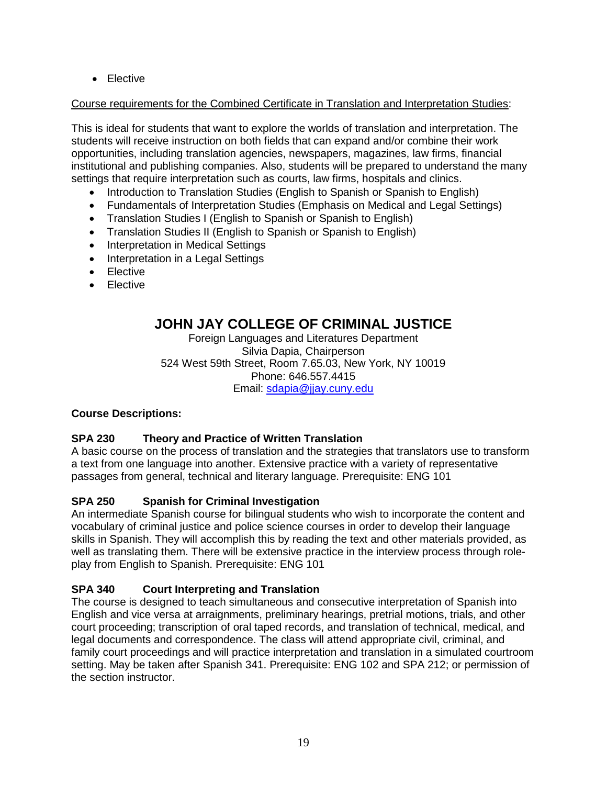• Elective

### Course requirements for the Combined Certificate in Translation and Interpretation Studies:

This is ideal for students that want to explore the worlds of translation and interpretation. The students will receive instruction on both fields that can expand and/or combine their work opportunities, including translation agencies, newspapers, magazines, law firms, financial institutional and publishing companies. Also, students will be prepared to understand the many settings that require interpretation such as courts, law firms, hospitals and clinics.

- Introduction to Translation Studies (English to Spanish or Spanish to English)
- Fundamentals of Interpretation Studies (Emphasis on Medical and Legal Settings)
- Translation Studies I (English to Spanish or Spanish to English)
- Translation Studies II (English to Spanish or Spanish to English)
- Interpretation in Medical Settings
- Interpretation in a Legal Settings
- Elective
- Elective

## **JOHN JAY COLLEGE OF CRIMINAL JUSTICE**

Foreign Languages and Literatures Department Silvia Dapia, Chairperson 524 West 59th Street, Room 7.65.03, New York, NY 10019 Phone: 646.557.4415 Email: [sdapia@jjay.cuny.edu](mailto:sdapia@jjay.cuny.edu)

### **Course Descriptions:**

### **SPA 230 Theory and Practice of Written Translation**

A basic course on the process of translation and the strategies that translators use to transform a text from one language into another. Extensive practice with a variety of representative passages from general, technical and literary language. Prerequisite: ENG 101

## **SPA 250 Spanish for Criminal Investigation**

An intermediate Spanish course for bilingual students who wish to incorporate the content and vocabulary of criminal justice and police science courses in order to develop their language skills in Spanish. They will accomplish this by reading the text and other materials provided, as well as translating them. There will be extensive practice in the interview process through roleplay from English to Spanish. Prerequisite: ENG 101

## **SPA 340 Court Interpreting and Translation**

The course is designed to teach simultaneous and consecutive interpretation of Spanish into English and vice versa at arraignments, preliminary hearings, pretrial motions, trials, and other court proceeding; transcription of oral taped records, and translation of technical, medical, and legal documents and correspondence. The class will attend appropriate civil, criminal, and family court proceedings and will practice interpretation and translation in a simulated courtroom setting. May be taken after Spanish 341. Prerequisite: ENG 102 and SPA 212; or permission of the section instructor.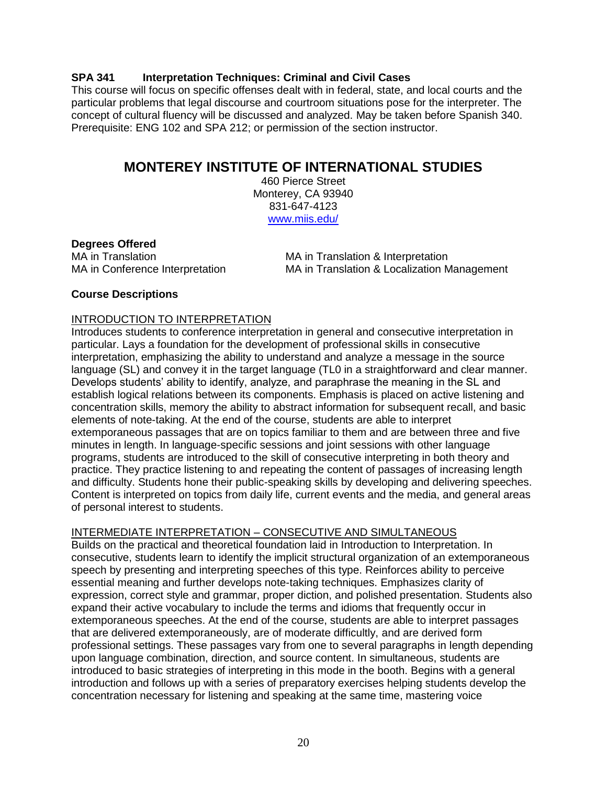#### **SPA 341 Interpretation Techniques: Criminal and Civil Cases**

This course will focus on specific offenses dealt with in federal, state, and local courts and the particular problems that legal discourse and courtroom situations pose for the interpreter. The concept of cultural fluency will be discussed and analyzed. May be taken before Spanish 340. Prerequisite: ENG 102 and SPA 212; or permission of the section instructor.

## **MONTEREY INSTITUTE OF INTERNATIONAL STUDIES**

460 Pierce Street Monterey, CA 93940 831-647-4123 [www.miis.edu/](http://www.miis.edu/)

#### **Degrees Offered**

MA in Translation MA in Translation & Interpretation MA in Conference Interpretation MA in Translation & Localization Management

#### **Course Descriptions**

#### INTRODUCTION TO INTERPRETATION

Introduces students to conference interpretation in general and consecutive interpretation in particular. Lays a foundation for the development of professional skills in consecutive interpretation, emphasizing the ability to understand and analyze a message in the source language (SL) and convey it in the target language (TL0 in a straightforward and clear manner. Develops students' ability to identify, analyze, and paraphrase the meaning in the SL and establish logical relations between its components. Emphasis is placed on active listening and concentration skills, memory the ability to abstract information for subsequent recall, and basic elements of note-taking. At the end of the course, students are able to interpret extemporaneous passages that are on topics familiar to them and are between three and five minutes in length. In language-specific sessions and joint sessions with other language programs, students are introduced to the skill of consecutive interpreting in both theory and practice. They practice listening to and repeating the content of passages of increasing length and difficulty. Students hone their public-speaking skills by developing and delivering speeches. Content is interpreted on topics from daily life, current events and the media, and general areas of personal interest to students.

#### INTERMEDIATE INTERPRETATION – CONSECUTIVE AND SIMULTANEOUS

Builds on the practical and theoretical foundation laid in Introduction to Interpretation. In consecutive, students learn to identify the implicit structural organization of an extemporaneous speech by presenting and interpreting speeches of this type. Reinforces ability to perceive essential meaning and further develops note-taking techniques. Emphasizes clarity of expression, correct style and grammar, proper diction, and polished presentation. Students also expand their active vocabulary to include the terms and idioms that frequently occur in extemporaneous speeches. At the end of the course, students are able to interpret passages that are delivered extemporaneously, are of moderate difficultly, and are derived form professional settings. These passages vary from one to several paragraphs in length depending upon language combination, direction, and source content. In simultaneous, students are introduced to basic strategies of interpreting in this mode in the booth. Begins with a general introduction and follows up with a series of preparatory exercises helping students develop the concentration necessary for listening and speaking at the same time, mastering voice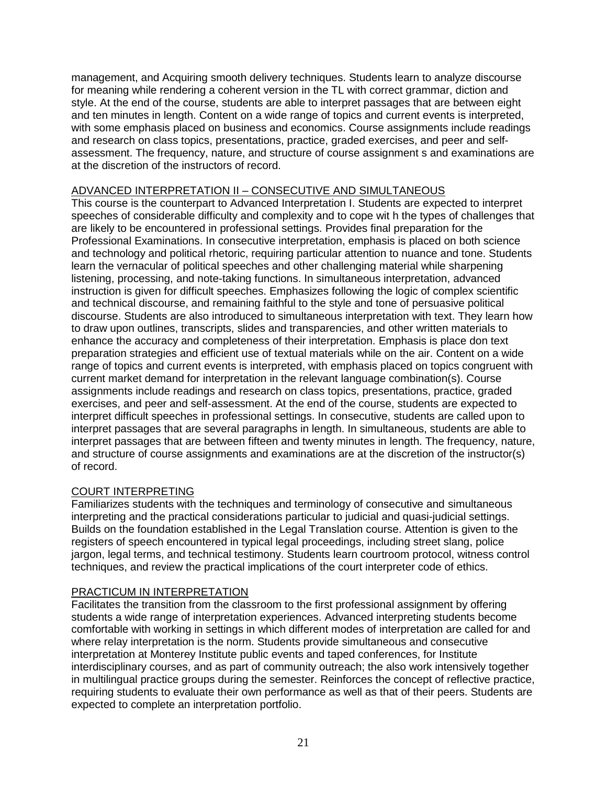management, and Acquiring smooth delivery techniques. Students learn to analyze discourse for meaning while rendering a coherent version in the TL with correct grammar, diction and style. At the end of the course, students are able to interpret passages that are between eight and ten minutes in length. Content on a wide range of topics and current events is interpreted, with some emphasis placed on business and economics. Course assignments include readings and research on class topics, presentations, practice, graded exercises, and peer and selfassessment. The frequency, nature, and structure of course assignment s and examinations are at the discretion of the instructors of record.

#### ADVANCED INTERPRETATION II – CONSECUTIVE AND SIMULTANEOUS

This course is the counterpart to Advanced Interpretation I. Students are expected to interpret speeches of considerable difficulty and complexity and to cope wit h the types of challenges that are likely to be encountered in professional settings. Provides final preparation for the Professional Examinations. In consecutive interpretation, emphasis is placed on both science and technology and political rhetoric, requiring particular attention to nuance and tone. Students learn the vernacular of political speeches and other challenging material while sharpening listening, processing, and note-taking functions. In simultaneous interpretation, advanced instruction is given for difficult speeches. Emphasizes following the logic of complex scientific and technical discourse, and remaining faithful to the style and tone of persuasive political discourse. Students are also introduced to simultaneous interpretation with text. They learn how to draw upon outlines, transcripts, slides and transparencies, and other written materials to enhance the accuracy and completeness of their interpretation. Emphasis is place don text preparation strategies and efficient use of textual materials while on the air. Content on a wide range of topics and current events is interpreted, with emphasis placed on topics congruent with current market demand for interpretation in the relevant language combination(s). Course assignments include readings and research on class topics, presentations, practice, graded exercises, and peer and self-assessment. At the end of the course, students are expected to interpret difficult speeches in professional settings. In consecutive, students are called upon to interpret passages that are several paragraphs in length. In simultaneous, students are able to interpret passages that are between fifteen and twenty minutes in length. The frequency, nature, and structure of course assignments and examinations are at the discretion of the instructor(s) of record.

### COURT INTERPRETING

Familiarizes students with the techniques and terminology of consecutive and simultaneous interpreting and the practical considerations particular to judicial and quasi-judicial settings. Builds on the foundation established in the Legal Translation course. Attention is given to the registers of speech encountered in typical legal proceedings, including street slang, police jargon, legal terms, and technical testimony. Students learn courtroom protocol, witness control techniques, and review the practical implications of the court interpreter code of ethics.

#### PRACTICUM IN INTERPRETATION

Facilitates the transition from the classroom to the first professional assignment by offering students a wide range of interpretation experiences. Advanced interpreting students become comfortable with working in settings in which different modes of interpretation are called for and where relay interpretation is the norm. Students provide simultaneous and consecutive interpretation at Monterey Institute public events and taped conferences, for Institute interdisciplinary courses, and as part of community outreach; the also work intensively together in multilingual practice groups during the semester. Reinforces the concept of reflective practice, requiring students to evaluate their own performance as well as that of their peers. Students are expected to complete an interpretation portfolio.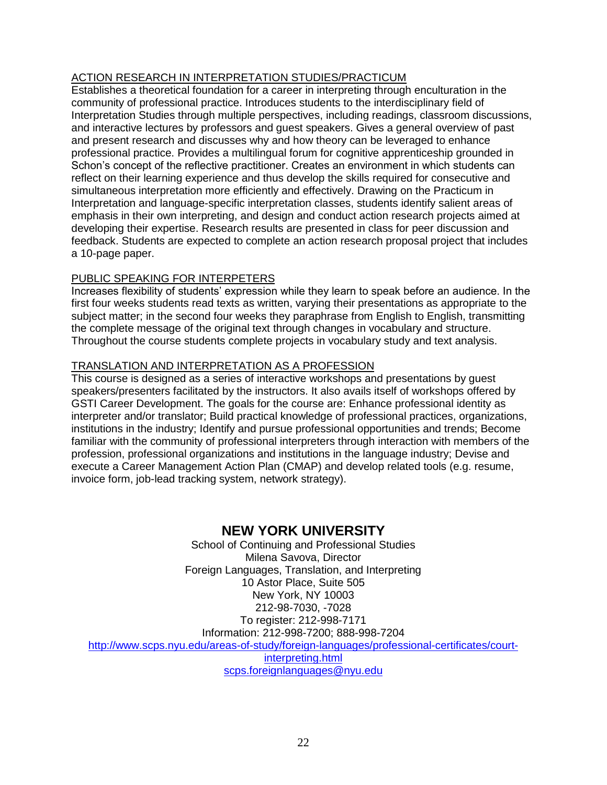## ACTION RESEARCH IN INTERPRETATION STUDIES/PRACTICUM

Establishes a theoretical foundation for a career in interpreting through enculturation in the community of professional practice. Introduces students to the interdisciplinary field of Interpretation Studies through multiple perspectives, including readings, classroom discussions, and interactive lectures by professors and guest speakers. Gives a general overview of past and present research and discusses why and how theory can be leveraged to enhance professional practice. Provides a multilingual forum for cognitive apprenticeship grounded in Schon's concept of the reflective practitioner. Creates an environment in which students can reflect on their learning experience and thus develop the skills required for consecutive and simultaneous interpretation more efficiently and effectively. Drawing on the Practicum in Interpretation and language-specific interpretation classes, students identify salient areas of emphasis in their own interpreting, and design and conduct action research projects aimed at developing their expertise. Research results are presented in class for peer discussion and feedback. Students are expected to complete an action research proposal project that includes a 10-page paper.

#### PUBLIC SPEAKING FOR INTERPETERS

Increases flexibility of students' expression while they learn to speak before an audience. In the first four weeks students read texts as written, varying their presentations as appropriate to the subject matter; in the second four weeks they paraphrase from English to English, transmitting the complete message of the original text through changes in vocabulary and structure. Throughout the course students complete projects in vocabulary study and text analysis.

#### TRANSLATION AND INTERPRETATION AS A PROFESSION

This course is designed as a series of interactive workshops and presentations by guest speakers/presenters facilitated by the instructors. It also avails itself of workshops offered by GSTI Career Development. The goals for the course are: Enhance professional identity as interpreter and/or translator; Build practical knowledge of professional practices, organizations, institutions in the industry; Identify and pursue professional opportunities and trends; Become familiar with the community of professional interpreters through interaction with members of the profession, professional organizations and institutions in the language industry; Devise and execute a Career Management Action Plan (CMAP) and develop related tools (e.g. resume, invoice form, job-lead tracking system, network strategy).

## **NEW YORK UNIVERSITY**

School of Continuing and Professional Studies Milena Savova, Director Foreign Languages, Translation, and Interpreting 10 Astor Place, Suite 505 New York, NY 10003 212-98-7030, -7028 To register: 212-998-7171 Information: 212-998-7200; 888-998-7204 [http://www.scps.nyu.edu/areas-of-study/foreign-languages/professional-certificates/court](http://www.scps.nyu.edu/areas-of-study/foreign-languages/professional-certificates/court-interpreting.html)[interpreting.html](http://www.scps.nyu.edu/areas-of-study/foreign-languages/professional-certificates/court-interpreting.html) [scps.foreignlanguages@nyu.edu](mailto:scps.foreignlanguages@nyu.edu)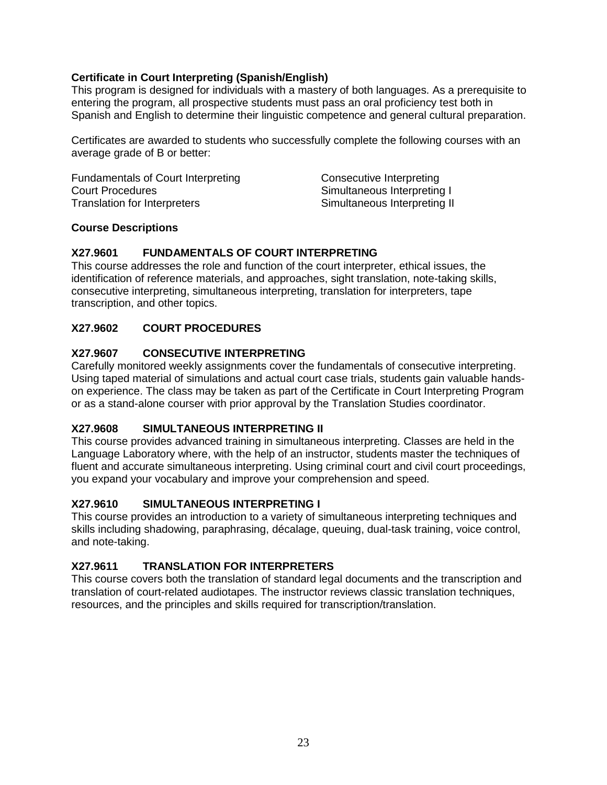#### **Certificate in Court Interpreting (Spanish/English)**

This program is designed for individuals with a mastery of both languages. As a prerequisite to entering the program, all prospective students must pass an oral proficiency test both in Spanish and English to determine their linguistic competence and general cultural preparation.

Certificates are awarded to students who successfully complete the following courses with an average grade of B or better:

| Fundamentals of Court Interpreting | Consecutive Interpreting     |
|------------------------------------|------------------------------|
| <b>Court Procedures</b>            | Simultaneous Interpreting I  |
| Translation for Interpreters       | Simultaneous Interpreting II |

#### **Course Descriptions**

#### **X27.9601 FUNDAMENTALS OF COURT INTERPRETING**

This course addresses the role and function of the court interpreter, ethical issues, the identification of reference materials, and approaches, sight translation, note-taking skills, consecutive interpreting, simultaneous interpreting, translation for interpreters, tape transcription, and other topics.

#### **X27.9602 COURT PROCEDURES**

#### **X27.9607 CONSECUTIVE INTERPRETING**

Carefully monitored weekly assignments cover the fundamentals of consecutive interpreting. Using taped material of simulations and actual court case trials, students gain valuable handson experience. The class may be taken as part of the Certificate in Court Interpreting Program or as a stand-alone courser with prior approval by the Translation Studies coordinator.

#### **X27.9608 SIMULTANEOUS INTERPRETING II**

This course provides advanced training in simultaneous interpreting. Classes are held in the Language Laboratory where, with the help of an instructor, students master the techniques of fluent and accurate simultaneous interpreting. Using criminal court and civil court proceedings, you expand your vocabulary and improve your comprehension and speed.

#### **X27.9610 SIMULTANEOUS INTERPRETING I**

This course provides an introduction to a variety of simultaneous interpreting techniques and skills including shadowing, paraphrasing, décalage, queuing, dual-task training, voice control, and note-taking.

#### **X27.9611 TRANSLATION FOR INTERPRETERS**

This course covers both the translation of standard legal documents and the transcription and translation of court-related audiotapes. The instructor reviews classic translation techniques, resources, and the principles and skills required for transcription/translation.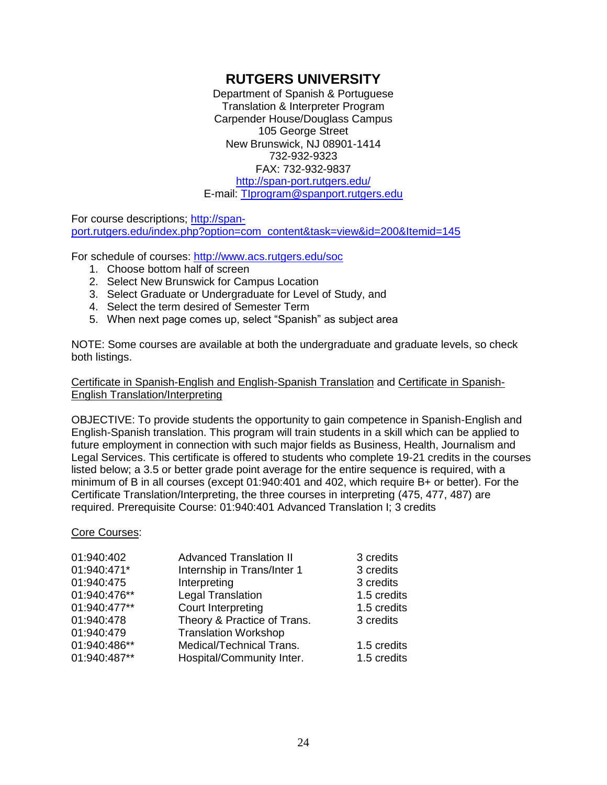## **RUTGERS UNIVERSITY**

Department of Spanish & Portuguese Translation & Interpreter Program Carpender House/Douglass Campus 105 George Street New Brunswick, NJ 08901-1414 732-932-9323 FAX: 732-932-9837 <http://span-port.rutgers.edu/> E-mail: [TIprogram@spanport.rutgers.edu](mailto:TIprogram@spanport.rutgers.edu)

For course descriptions; [http://span](http://span-port.rutgers.edu/index.php?option=com_content&task=view&id=200&Itemid=145)[port.rutgers.edu/index.php?option=com\\_content&task=view&id=200&Itemid=145](http://span-port.rutgers.edu/index.php?option=com_content&task=view&id=200&Itemid=145)

For schedule of courses:<http://www.acs.rutgers.edu/soc>

- 1. Choose bottom half of screen
- 2. Select New Brunswick for Campus Location
- 3. Select Graduate or Undergraduate for Level of Study, and
- 4. Select the term desired of Semester Term
- 5. When next page comes up, select "Spanish" as subject area

NOTE: Some courses are available at both the undergraduate and graduate levels, so check both listings.

#### Certificate in Spanish-English and English-Spanish Translation and Certificate in Spanish-English Translation/Interpreting

OBJECTIVE: To provide students the opportunity to gain competence in Spanish-English and English-Spanish translation. This program will train students in a skill which can be applied to future employment in connection with such major fields as Business, Health, Journalism and Legal Services. This certificate is offered to students who complete 19-21 credits in the courses listed below; a 3.5 or better grade point average for the entire sequence is required, with a minimum of B in all courses (except 01:940:401 and 402, which require B+ or better). For the Certificate Translation/Interpreting, the three courses in interpreting (475, 477, 487) are required. Prerequisite Course: 01:940:401 Advanced Translation I; 3 credits

#### Core Courses:

| 01:940:402   | <b>Advanced Translation II</b> | 3 credits   |
|--------------|--------------------------------|-------------|
| 01:940:471*  | Internship in Trans/Inter 1    | 3 credits   |
| 01:940:475   | Interpreting                   | 3 credits   |
| 01:940:476** | Legal Translation              | 1.5 credits |
| 01:940:477** | Court Interpreting             | 1.5 credits |
| 01:940:478   | Theory & Practice of Trans.    | 3 credits   |
| 01:940:479   | <b>Translation Workshop</b>    |             |
| 01:940:486** | Medical/Technical Trans.       | 1.5 credits |
| 01:940:487** | Hospital/Community Inter.      | 1.5 credits |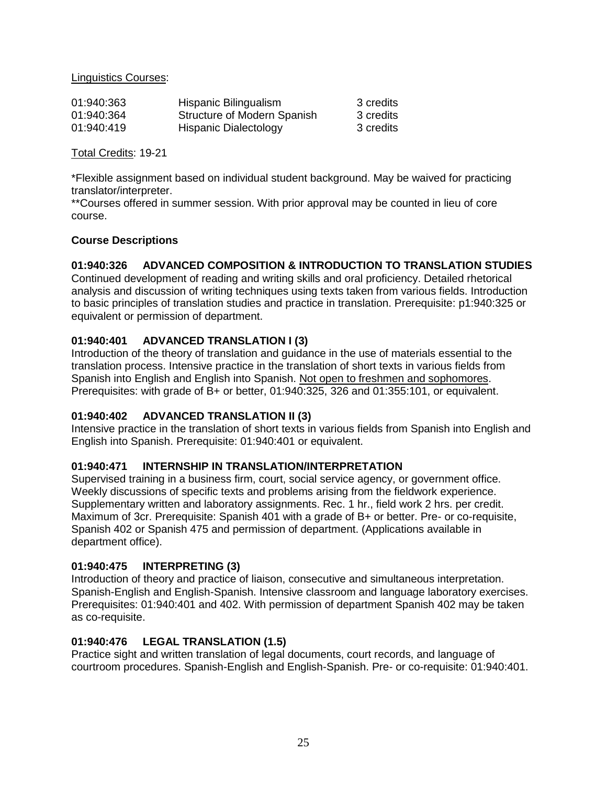Linguistics Courses:

| 01:940:363 | Hispanic Bilingualism       | 3 credits |
|------------|-----------------------------|-----------|
| 01:940:364 | Structure of Modern Spanish | 3 credits |
| 01:940:419 | Hispanic Dialectology       | 3 credits |

Total Credits: 19-21

\*Flexible assignment based on individual student background. May be waived for practicing translator/interpreter.

\*\*Courses offered in summer session. With prior approval may be counted in lieu of core course.

#### **Course Descriptions**

#### **01:940:326 ADVANCED COMPOSITION & INTRODUCTION TO TRANSLATION STUDIES**

Continued development of reading and writing skills and oral proficiency. Detailed rhetorical analysis and discussion of writing techniques using texts taken from various fields. Introduction to basic principles of translation studies and practice in translation. Prerequisite: p1:940:325 or equivalent or permission of department.

#### **01:940:401 ADVANCED TRANSLATION I (3)**

Introduction of the theory of translation and guidance in the use of materials essential to the translation process. Intensive practice in the translation of short texts in various fields from Spanish into English and English into Spanish. Not open to freshmen and sophomores. Prerequisites: with grade of B+ or better, 01:940:325, 326 and 01:355:101, or equivalent.

#### **01:940:402 ADVANCED TRANSLATION II (3)**

Intensive practice in the translation of short texts in various fields from Spanish into English and English into Spanish. Prerequisite: 01:940:401 or equivalent.

#### **01:940:471 INTERNSHIP IN TRANSLATION/INTERPRETATION**

Supervised training in a business firm, court, social service agency, or government office. Weekly discussions of specific texts and problems arising from the fieldwork experience. Supplementary written and laboratory assignments. Rec. 1 hr., field work 2 hrs. per credit. Maximum of 3cr. Prerequisite: Spanish 401 with a grade of B+ or better. Pre- or co-requisite, Spanish 402 or Spanish 475 and permission of department. (Applications available in department office).

#### **01:940:475 INTERPRETING (3)**

Introduction of theory and practice of liaison, consecutive and simultaneous interpretation. Spanish-English and English-Spanish. Intensive classroom and language laboratory exercises. Prerequisites: 01:940:401 and 402. With permission of department Spanish 402 may be taken as co-requisite.

#### **01:940:476 LEGAL TRANSLATION (1.5)**

Practice sight and written translation of legal documents, court records, and language of courtroom procedures. Spanish-English and English-Spanish. Pre- or co-requisite: 01:940:401.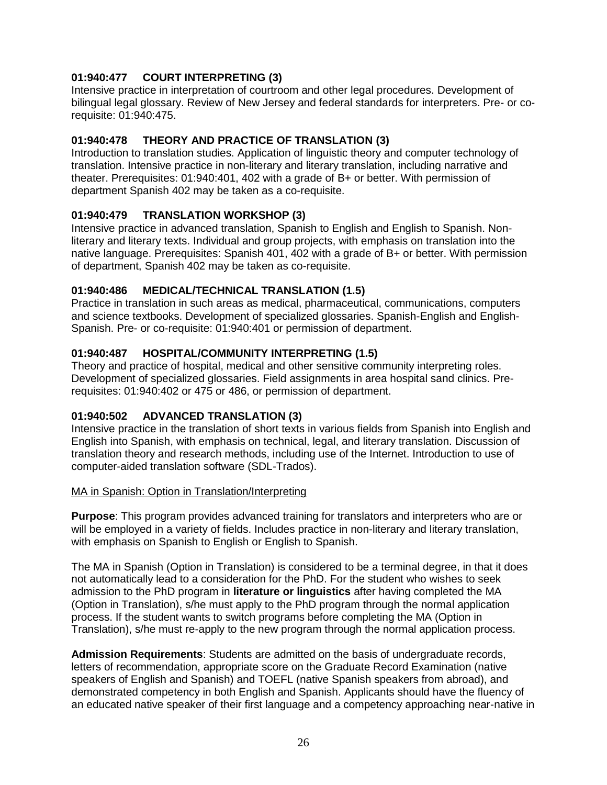### **01:940:477 COURT INTERPRETING (3)**

Intensive practice in interpretation of courtroom and other legal procedures. Development of bilingual legal glossary. Review of New Jersey and federal standards for interpreters. Pre- or corequisite: 01:940:475.

### **01:940:478 THEORY AND PRACTICE OF TRANSLATION (3)**

Introduction to translation studies. Application of linguistic theory and computer technology of translation. Intensive practice in non-literary and literary translation, including narrative and theater. Prerequisites: 01:940:401, 402 with a grade of B+ or better. With permission of department Spanish 402 may be taken as a co-requisite.

### **01:940:479 TRANSLATION WORKSHOP (3)**

Intensive practice in advanced translation, Spanish to English and English to Spanish. Nonliterary and literary texts. Individual and group projects, with emphasis on translation into the native language. Prerequisites: Spanish 401, 402 with a grade of B+ or better. With permission of department, Spanish 402 may be taken as co-requisite.

### **01:940:486 MEDICAL/TECHNICAL TRANSLATION (1.5)**

Practice in translation in such areas as medical, pharmaceutical, communications, computers and science textbooks. Development of specialized glossaries. Spanish-English and English-Spanish. Pre- or co-requisite: 01:940:401 or permission of department.

### **01:940:487 HOSPITAL/COMMUNITY INTERPRETING (1.5)**

Theory and practice of hospital, medical and other sensitive community interpreting roles. Development of specialized glossaries. Field assignments in area hospital sand clinics. Prerequisites: 01:940:402 or 475 or 486, or permission of department.

### **01:940:502 ADVANCED TRANSLATION (3)**

Intensive practice in the translation of short texts in various fields from Spanish into English and English into Spanish, with emphasis on technical, legal, and literary translation. Discussion of translation theory and research methods, including use of the Internet. Introduction to use of computer-aided translation software (SDL-Trados).

### MA in Spanish: Option in Translation/Interpreting

**Purpose**: This program provides advanced training for translators and interpreters who are or will be employed in a variety of fields. Includes practice in non-literary and literary translation, with emphasis on Spanish to English or English to Spanish.

The MA in Spanish (Option in Translation) is considered to be a terminal degree, in that it does not automatically lead to a consideration for the PhD. For the student who wishes to seek admission to the PhD program in **literature or linguistics** after having completed the MA (Option in Translation), s/he must apply to the PhD program through the normal application process. If the student wants to switch programs before completing the MA (Option in Translation), s/he must re-apply to the new program through the normal application process.

**Admission Requirements**: Students are admitted on the basis of undergraduate records, letters of recommendation, appropriate score on the Graduate Record Examination (native speakers of English and Spanish) and TOEFL (native Spanish speakers from abroad), and demonstrated competency in both English and Spanish. Applicants should have the fluency of an educated native speaker of their first language and a competency approaching near-native in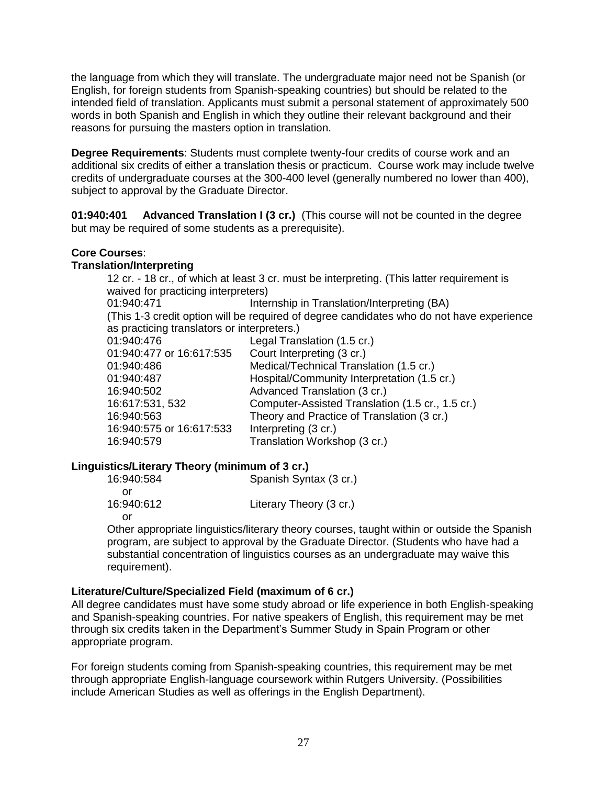the language from which they will translate. The undergraduate major need not be Spanish (or English, for foreign students from Spanish-speaking countries) but should be related to the intended field of translation. Applicants must submit a personal statement of approximately 500 words in both Spanish and English in which they outline their relevant background and their reasons for pursuing the masters option in translation.

**Degree Requirements**: Students must complete twenty-four credits of course work and an additional six credits of either a translation thesis or practicum. Course work may include twelve credits of undergraduate courses at the 300-400 level (generally numbered no lower than 400), subject to approval by the Graduate Director.

**01:940:401 Advanced Translation I (3 cr.)** (This course will not be counted in the degree but may be required of some students as a prerequisite).

#### **Core Courses**:

#### **Translation/Interpreting**

12 cr. - 18 cr., of which at least 3 cr. must be interpreting. (This latter requirement is waived for practicing interpreters) 01:940:471 Internship in Translation/Interpreting (BA) (This 1-3 credit option will be required of degree candidates who do not have experience as practicing translators or interpreters.) 01:940:476 Legal Translation (1.5 cr.) 01:940:477 or 16:617:535 Court Interpreting (3 cr.) 01:940:486 Medical/Technical Translation (1.5 cr.) 01:940:487 Hospital/Community Interpretation (1.5 cr.) 16:940:502 Advanced Translation (3 cr.) 16:617:531, 532 Computer-Assisted Translation (1.5 cr., 1.5 cr.) 16:940:563 Theory and Practice of Translation (3 cr.) 16:940:575 or 16:617:533 Interpreting (3 cr.)

### **Linguistics/Literary Theory (minimum of 3 cr.)**

| 16:940:584 | Spanish Syntax (3 cr.)  |
|------------|-------------------------|
| Ωľ         |                         |
| 16:940:612 | Literary Theory (3 cr.) |
| Ωľ         |                         |

16:940:579 Translation Workshop (3 cr.)

Other appropriate linguistics/literary theory courses, taught within or outside the Spanish program, are subject to approval by the Graduate Director. (Students who have had a substantial concentration of linguistics courses as an undergraduate may waive this requirement).

#### **Literature/Culture/Specialized Field (maximum of 6 cr.)**

All degree candidates must have some study abroad or life experience in both English-speaking and Spanish-speaking countries. For native speakers of English, this requirement may be met through six credits taken in the Department's Summer Study in Spain Program or other appropriate program.

For foreign students coming from Spanish-speaking countries, this requirement may be met through appropriate English-language coursework within Rutgers University. (Possibilities include American Studies as well as offerings in the English Department).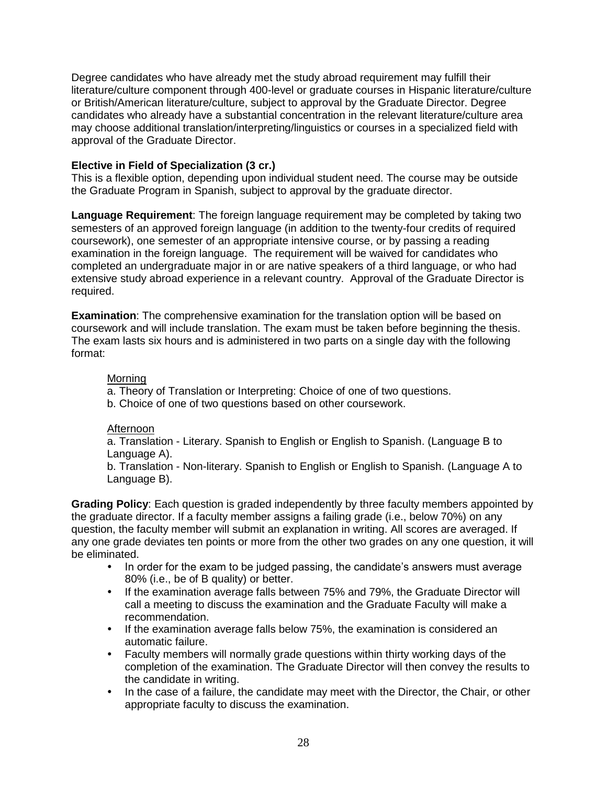Degree candidates who have already met the study abroad requirement may fulfill their literature/culture component through 400-level or graduate courses in Hispanic literature/culture or British/American literature/culture, subject to approval by the Graduate Director. Degree candidates who already have a substantial concentration in the relevant literature/culture area may choose additional translation/interpreting/linguistics or courses in a specialized field with approval of the Graduate Director.

#### **Elective in Field of Specialization (3 cr.)**

This is a flexible option, depending upon individual student need. The course may be outside the Graduate Program in Spanish, subject to approval by the graduate director.

**Language Requirement**: The foreign language requirement may be completed by taking two semesters of an approved foreign language (in addition to the twenty-four credits of required coursework), one semester of an appropriate intensive course, or by passing a reading examination in the foreign language. The requirement will be waived for candidates who completed an undergraduate major in or are native speakers of a third language, or who had extensive study abroad experience in a relevant country. Approval of the Graduate Director is required.

**Examination**: The comprehensive examination for the translation option will be based on coursework and will include translation. The exam must be taken before beginning the thesis. The exam lasts six hours and is administered in two parts on a single day with the following format:

#### Morning

a. Theory of Translation or Interpreting: Choice of one of two questions.

b. Choice of one of two questions based on other coursework.

#### Afternoon

a. Translation - Literary. Spanish to English or English to Spanish. (Language B to Language A).

b. Translation - Non-literary. Spanish to English or English to Spanish. (Language A to Language B).

**Grading Policy**: Each question is graded independently by three faculty members appointed by the graduate director. If a faculty member assigns a failing grade (i.e., below 70%) on any question, the faculty member will submit an explanation in writing. All scores are averaged. If any one grade deviates ten points or more from the other two grades on any one question, it will be eliminated.

- In order for the exam to be judged passing, the candidate's answers must average 80% (i.e., be of B quality) or better.
- If the examination average falls between 75% and 79%, the Graduate Director will call a meeting to discuss the examination and the Graduate Faculty will make a recommendation.
- If the examination average falls below 75%, the examination is considered an automatic failure.
- Faculty members will normally grade questions within thirty working days of the completion of the examination. The Graduate Director will then convey the results to the candidate in writing.
- In the case of a failure, the candidate may meet with the Director, the Chair, or other appropriate faculty to discuss the examination.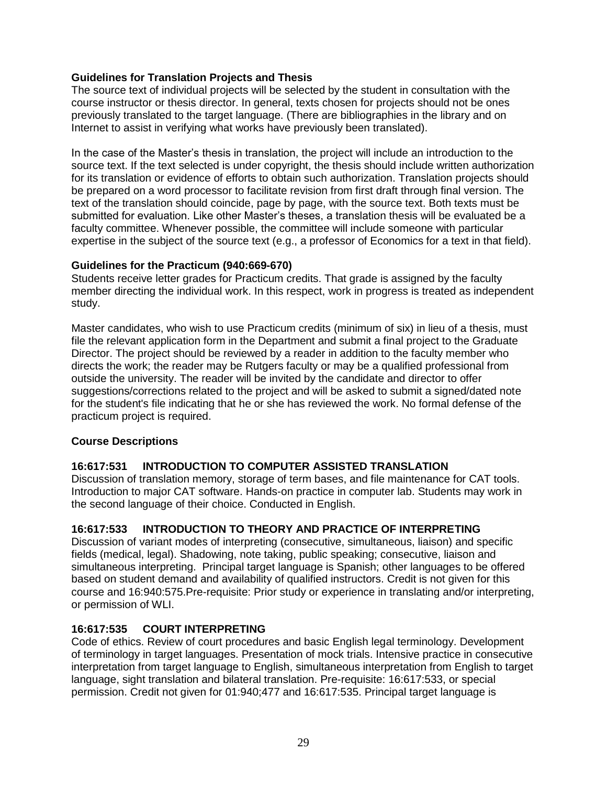#### **Guidelines for Translation Projects and Thesis**

The source text of individual projects will be selected by the student in consultation with the course instructor or thesis director. In general, texts chosen for projects should not be ones previously translated to the target language. (There are bibliographies in the library and on Internet to assist in verifying what works have previously been translated).

In the case of the Master's thesis in translation, the project will include an introduction to the source text. If the text selected is under copyright, the thesis should include written authorization for its translation or evidence of efforts to obtain such authorization. Translation projects should be prepared on a word processor to facilitate revision from first draft through final version. The text of the translation should coincide, page by page, with the source text. Both texts must be submitted for evaluation. Like other Master's theses, a translation thesis will be evaluated be a faculty committee. Whenever possible, the committee will include someone with particular expertise in the subject of the source text (e.g., a professor of Economics for a text in that field).

#### **Guidelines for the Practicum (940:669-670)**

Students receive letter grades for Practicum credits. That grade is assigned by the faculty member directing the individual work. In this respect, work in progress is treated as independent study.

Master candidates, who wish to use Practicum credits (minimum of six) in lieu of a thesis, must file the relevant application form in the Department and submit a final project to the Graduate Director. The project should be reviewed by a reader in addition to the faculty member who directs the work; the reader may be Rutgers faculty or may be a qualified professional from outside the university. The reader will be invited by the candidate and director to offer suggestions/corrections related to the project and will be asked to submit a signed/dated note for the student's file indicating that he or she has reviewed the work. No formal defense of the practicum project is required.

#### **Course Descriptions**

#### **16:617:531 INTRODUCTION TO COMPUTER ASSISTED TRANSLATION**

Discussion of translation memory, storage of term bases, and file maintenance for CAT tools. Introduction to major CAT software. Hands-on practice in computer lab. Students may work in the second language of their choice. Conducted in English.

#### **16:617:533 INTRODUCTION TO THEORY AND PRACTICE OF INTERPRETING**

Discussion of variant modes of interpreting (consecutive, simultaneous, liaison) and specific fields (medical, legal). Shadowing, note taking, public speaking; consecutive, liaison and simultaneous interpreting. Principal target language is Spanish; other languages to be offered based on student demand and availability of qualified instructors. Credit is not given for this course and 16:940:575.Pre-requisite: Prior study or experience in translating and/or interpreting, or permission of WLI.

#### **16:617:535 COURT INTERPRETING**

Code of ethics. Review of court procedures and basic English legal terminology. Development of terminology in target languages. Presentation of mock trials. Intensive practice in consecutive interpretation from target language to English, simultaneous interpretation from English to target language, sight translation and bilateral translation. Pre-requisite: 16:617:533, or special permission. Credit not given for 01:940;477 and 16:617:535. Principal target language is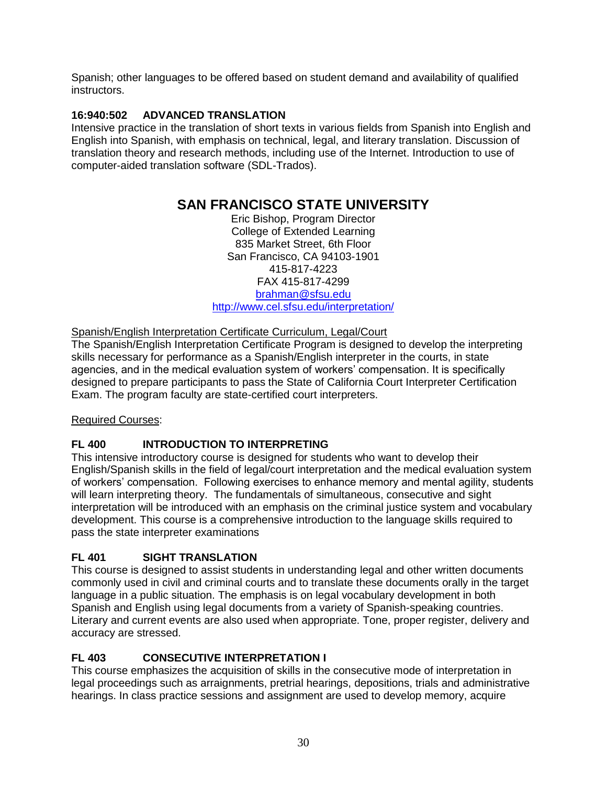Spanish; other languages to be offered based on student demand and availability of qualified instructors.

### **16:940:502 ADVANCED TRANSLATION**

Intensive practice in the translation of short texts in various fields from Spanish into English and English into Spanish, with emphasis on technical, legal, and literary translation. Discussion of translation theory and research methods, including use of the Internet. Introduction to use of computer-aided translation software (SDL-Trados).

## **SAN FRANCISCO STATE UNIVERSITY**

Eric Bishop, Program Director College of Extended Learning 835 Market Street, 6th Floor San Francisco, CA 94103-1901 415-817-4223 FAX 415-817-4299 [brahman@sfsu.edu](mailto:brahman@sfsu.edu) <http://www.cel.sfsu.edu/interpretation/>

### Spanish/English Interpretation Certificate Curriculum, Legal/Court

The Spanish/English Interpretation Certificate Program is designed to develop the interpreting skills necessary for performance as a Spanish/English interpreter in the courts, in state agencies, and in the medical evaluation system of workers' compensation. It is specifically designed to prepare participants to pass the State of California Court Interpreter Certification Exam. The program faculty are state-certified court interpreters.

### Required Courses:

## **FL 400 INTRODUCTION TO INTERPRETING**

This intensive introductory course is designed for students who want to develop their English/Spanish skills in the field of legal/court interpretation and the medical evaluation system of workers' compensation. Following exercises to enhance memory and mental agility, students will learn interpreting theory. The fundamentals of simultaneous, consecutive and sight interpretation will be introduced with an emphasis on the criminal justice system and vocabulary development. This course is a comprehensive introduction to the language skills required to pass the state interpreter examinations

## **FL 401 SIGHT TRANSLATION**

This course is designed to assist students in understanding legal and other written documents commonly used in civil and criminal courts and to translate these documents orally in the target language in a public situation. The emphasis is on legal vocabulary development in both Spanish and English using legal documents from a variety of Spanish-speaking countries. Literary and current events are also used when appropriate. Tone, proper register, delivery and accuracy are stressed.

## **FL 403 CONSECUTIVE INTERPRETATION I**

This course emphasizes the acquisition of skills in the consecutive mode of interpretation in legal proceedings such as arraignments, pretrial hearings, depositions, trials and administrative hearings. In class practice sessions and assignment are used to develop memory, acquire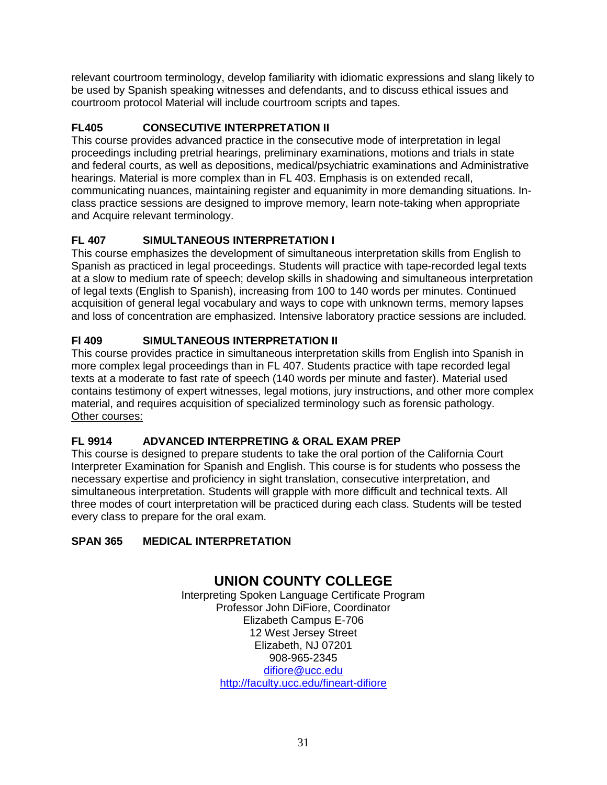relevant courtroom terminology, develop familiarity with idiomatic expressions and slang likely to be used by Spanish speaking witnesses and defendants, and to discuss ethical issues and courtroom protocol Material will include courtroom scripts and tapes.

## **FL405 CONSECUTIVE INTERPRETATION II**

This course provides advanced practice in the consecutive mode of interpretation in legal proceedings including pretrial hearings, preliminary examinations, motions and trials in state and federal courts, as well as depositions, medical/psychiatric examinations and Administrative hearings. Material is more complex than in FL 403. Emphasis is on extended recall, communicating nuances, maintaining register and equanimity in more demanding situations. Inclass practice sessions are designed to improve memory, learn note-taking when appropriate and Acquire relevant terminology.

## **FL 407 SIMULTANEOUS INTERPRETATION I**

This course emphasizes the development of simultaneous interpretation skills from English to Spanish as practiced in legal proceedings. Students will practice with tape-recorded legal texts at a slow to medium rate of speech; develop skills in shadowing and simultaneous interpretation of legal texts (English to Spanish), increasing from 100 to 140 words per minutes. Continued acquisition of general legal vocabulary and ways to cope with unknown terms, memory lapses and loss of concentration are emphasized. Intensive laboratory practice sessions are included.

## **Fl 409 SIMULTANEOUS INTERPRETATION II**

This course provides practice in simultaneous interpretation skills from English into Spanish in more complex legal proceedings than in FL 407. Students practice with tape recorded legal texts at a moderate to fast rate of speech (140 words per minute and faster). Material used contains testimony of expert witnesses, legal motions, jury instructions, and other more complex material, and requires acquisition of specialized terminology such as forensic pathology. Other courses:

## **FL 9914 ADVANCED INTERPRETING & ORAL EXAM PREP**

This course is designed to prepare students to take the oral portion of the California Court Interpreter Examination for Spanish and English. This course is for students who possess the necessary expertise and proficiency in sight translation, consecutive interpretation, and simultaneous interpretation. Students will grapple with more difficult and technical texts. All three modes of court interpretation will be practiced during each class. Students will be tested every class to prepare for the oral exam.

## **SPAN 365 MEDICAL INTERPRETATION**

## **UNION COUNTY COLLEGE**

Interpreting Spoken Language Certificate Program Professor John DiFiore, Coordinator Elizabeth Campus E-706 12 West Jersey Street Elizabeth, NJ 07201 908-965-2345 [difiore@ucc.edu](mailto:difiore@ucc.edu) <http://faculty.ucc.edu/fineart-difiore>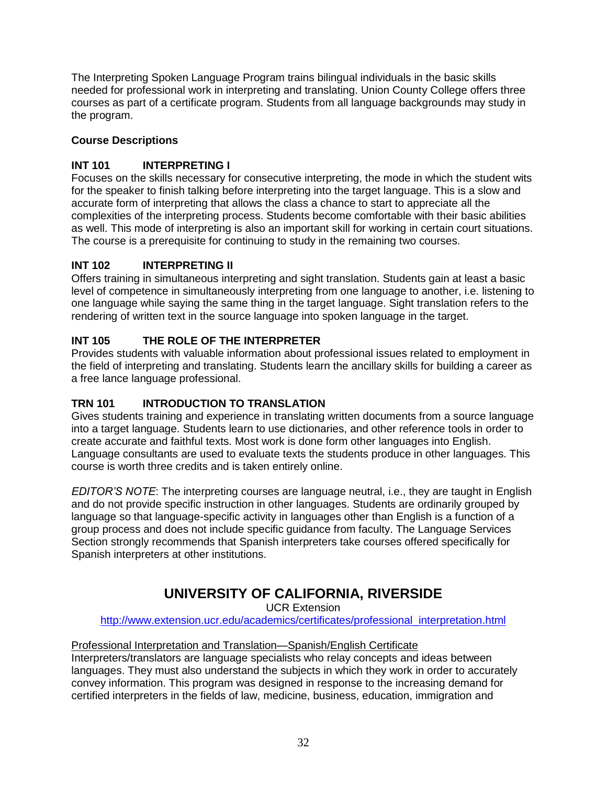The Interpreting Spoken Language Program trains bilingual individuals in the basic skills needed for professional work in interpreting and translating. Union County College offers three courses as part of a certificate program. Students from all language backgrounds may study in the program.

### **Course Descriptions**

## **INT 101 INTERPRETING I**

Focuses on the skills necessary for consecutive interpreting, the mode in which the student wits for the speaker to finish talking before interpreting into the target language. This is a slow and accurate form of interpreting that allows the class a chance to start to appreciate all the complexities of the interpreting process. Students become comfortable with their basic abilities as well. This mode of interpreting is also an important skill for working in certain court situations. The course is a prerequisite for continuing to study in the remaining two courses.

### **INT 102 INTERPRETING II**

Offers training in simultaneous interpreting and sight translation. Students gain at least a basic level of competence in simultaneously interpreting from one language to another, i.e. listening to one language while saying the same thing in the target language. Sight translation refers to the rendering of written text in the source language into spoken language in the target.

## **INT 105 THE ROLE OF THE INTERPRETER**

Provides students with valuable information about professional issues related to employment in the field of interpreting and translating. Students learn the ancillary skills for building a career as a free lance language professional.

## **TRN 101 INTRODUCTION TO TRANSLATION**

Gives students training and experience in translating written documents from a source language into a target language. Students learn to use dictionaries, and other reference tools in order to create accurate and faithful texts. Most work is done form other languages into English. Language consultants are used to evaluate texts the students produce in other languages. This course is worth three credits and is taken entirely online.

*EDITOR'S NOTE*: The interpreting courses are language neutral, i.e., they are taught in English and do not provide specific instruction in other languages. Students are ordinarily grouped by language so that language-specific activity in languages other than English is a function of a group process and does not include specific guidance from faculty. The Language Services Section strongly recommends that Spanish interpreters take courses offered specifically for Spanish interpreters at other institutions.

## **UNIVERSITY OF CALIFORNIA, RIVERSIDE**

UCR Extension

[http://www.extension.ucr.edu/academics/certificates/professional\\_interpretation.html](http://www.extension.ucr.edu/academics/certificates/professional_interpretation.html)

### Professional Interpretation and Translation—Spanish/English Certificate

Interpreters/translators are language specialists who relay concepts and ideas between languages. They must also understand the subjects in which they work in order to accurately convey information. This program was designed in response to the increasing demand for certified interpreters in the fields of law, medicine, business, education, immigration and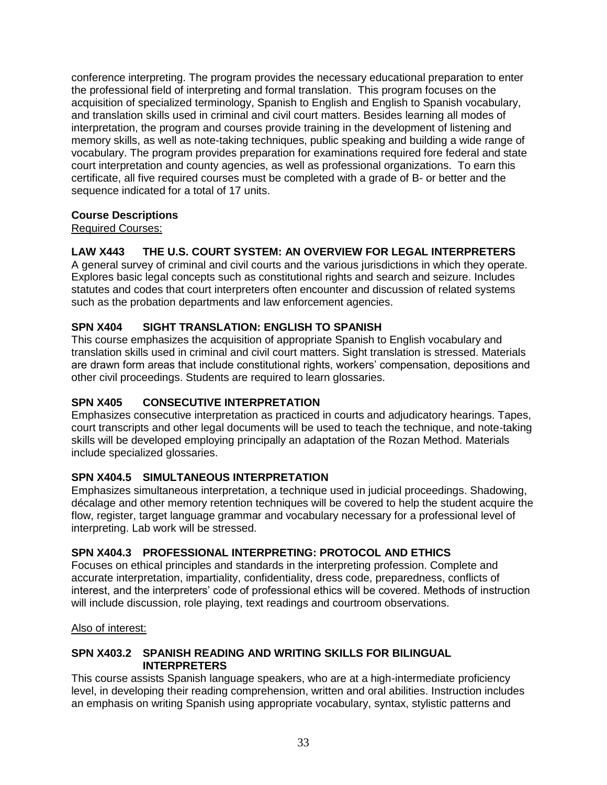conference interpreting. The program provides the necessary educational preparation to enter the professional field of interpreting and formal translation. This program focuses on the acquisition of specialized terminology, Spanish to English and English to Spanish vocabulary, and translation skills used in criminal and civil court matters. Besides learning all modes of interpretation, the program and courses provide training in the development of listening and memory skills, as well as note-taking techniques, public speaking and building a wide range of vocabulary. The program provides preparation for examinations required fore federal and state court interpretation and county agencies, as well as professional organizations. To earn this certificate, all five required courses must be completed with a grade of B- or better and the sequence indicated for a total of 17 units.

#### **Course Descriptions**

#### Required Courses:

### **LAW X443 THE U.S. COURT SYSTEM: AN OVERVIEW FOR LEGAL INTERPRETERS**

A general survey of criminal and civil courts and the various jurisdictions in which they operate. Explores basic legal concepts such as constitutional rights and search and seizure. Includes statutes and codes that court interpreters often encounter and discussion of related systems such as the probation departments and law enforcement agencies.

### **SPN X404 SIGHT TRANSLATION: ENGLISH TO SPANISH**

This course emphasizes the acquisition of appropriate Spanish to English vocabulary and translation skills used in criminal and civil court matters. Sight translation is stressed. Materials are drawn form areas that include constitutional rights, workers' compensation, depositions and other civil proceedings. Students are required to learn glossaries.

### **SPN X405 CONSECUTIVE INTERPRETATION**

Emphasizes consecutive interpretation as practiced in courts and adjudicatory hearings. Tapes, court transcripts and other legal documents will be used to teach the technique, and note-taking skills will be developed employing principally an adaptation of the Rozan Method. Materials include specialized glossaries.

### **SPN X404.5 SIMULTANEOUS INTERPRETATION**

Emphasizes simultaneous interpretation, a technique used in judicial proceedings. Shadowing, décalage and other memory retention techniques will be covered to help the student acquire the flow, register, target language grammar and vocabulary necessary for a professional level of interpreting. Lab work will be stressed.

### **SPN X404.3 PROFESSIONAL INTERPRETING: PROTOCOL AND ETHICS**

Focuses on ethical principles and standards in the interpreting profession. Complete and accurate interpretation, impartiality, confidentiality, dress code, preparedness, conflicts of interest, and the interpreters' code of professional ethics will be covered. Methods of instruction will include discussion, role playing, text readings and courtroom observations.

#### Also of interest:

#### **SPN X403.2 SPANISH READING AND WRITING SKILLS FOR BILINGUAL INTERPRETERS**

This course assists Spanish language speakers, who are at a high-intermediate proficiency level, in developing their reading comprehension, written and oral abilities. Instruction includes an emphasis on writing Spanish using appropriate vocabulary, syntax, stylistic patterns and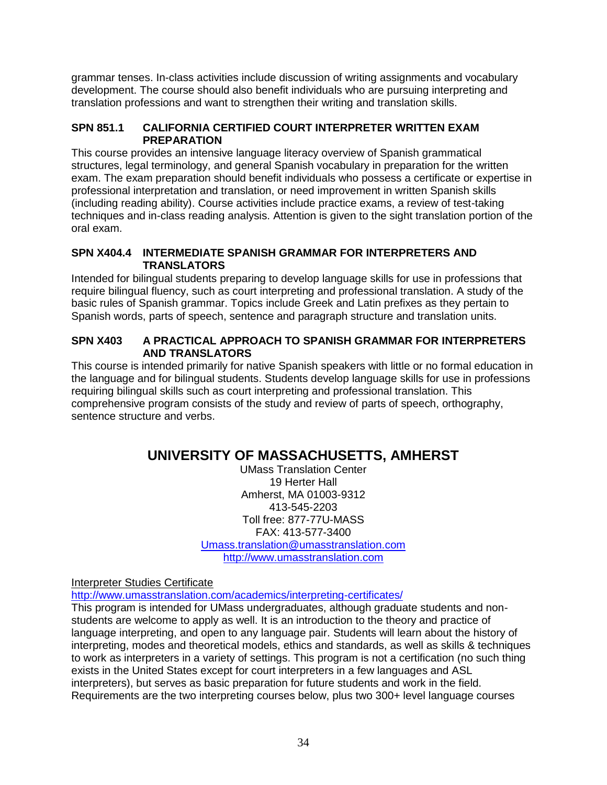grammar tenses. In-class activities include discussion of writing assignments and vocabulary development. The course should also benefit individuals who are pursuing interpreting and translation professions and want to strengthen their writing and translation skills.

#### **SPN 851.1 CALIFORNIA CERTIFIED COURT INTERPRETER WRITTEN EXAM PREPARATION**

This course provides an intensive language literacy overview of Spanish grammatical structures, legal terminology, and general Spanish vocabulary in preparation for the written exam. The exam preparation should benefit individuals who possess a certificate or expertise in professional interpretation and translation, or need improvement in written Spanish skills (including reading ability). Course activities include practice exams, a review of test-taking techniques and in-class reading analysis. Attention is given to the sight translation portion of the oral exam.

#### **SPN X404.4 INTERMEDIATE SPANISH GRAMMAR FOR INTERPRETERS AND TRANSLATORS**

Intended for bilingual students preparing to develop language skills for use in professions that require bilingual fluency, such as court interpreting and professional translation. A study of the basic rules of Spanish grammar. Topics include Greek and Latin prefixes as they pertain to Spanish words, parts of speech, sentence and paragraph structure and translation units.

#### **SPN X403 A PRACTICAL APPROACH TO SPANISH GRAMMAR FOR INTERPRETERS AND TRANSLATORS**

This course is intended primarily for native Spanish speakers with little or no formal education in the language and for bilingual students. Students develop language skills for use in professions requiring bilingual skills such as court interpreting and professional translation. This comprehensive program consists of the study and review of parts of speech, orthography, sentence structure and verbs.

## **UNIVERSITY OF MASSACHUSETTS, AMHERST**

UMass Translation Center 19 Herter Hall Amherst, MA 01003-9312 413-545-2203 Toll free: 877-77U-MASS FAX: 413-577-3400 [Umass.translation@umasstranslation.com](mailto:Umass.translation@umasstranslation.com) [http://www.umasstranslation.com](http://www.umasstranslation.com/)

Interpreter Studies Certificate

<http://www.umasstranslation.com/academics/interpreting-certificates/>

This program is intended for UMass undergraduates, although graduate students and nonstudents are welcome to apply as well. It is an introduction to the theory and practice of language interpreting, and open to any language pair. Students will learn about the history of interpreting, modes and theoretical models, ethics and standards, as well as skills & techniques to work as interpreters in a variety of settings. This program is not a certification (no such thing exists in the United States except for court interpreters in a few languages and ASL interpreters), but serves as basic preparation for future students and work in the field. Requirements are the two interpreting courses below, plus two 300+ level language courses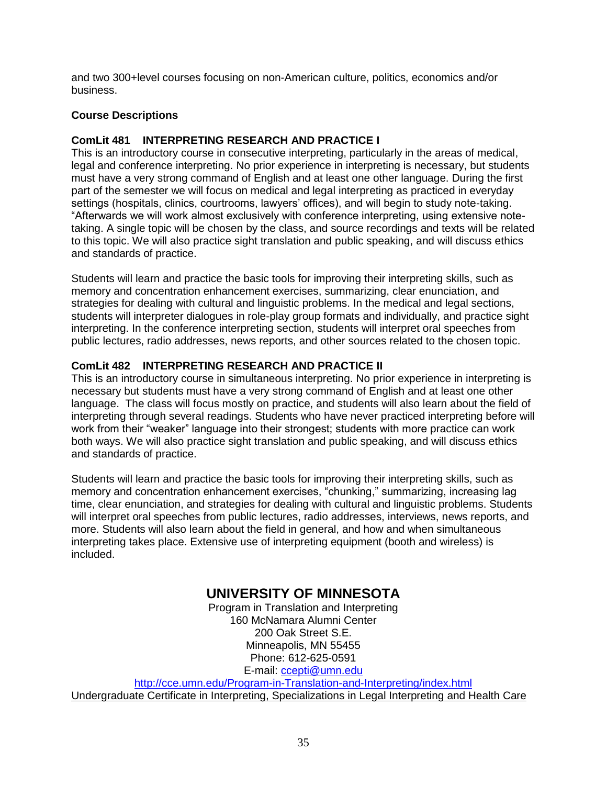and two 300+level courses focusing on non-American culture, politics, economics and/or business.

#### **Course Descriptions**

#### **ComLit 481 INTERPRETING RESEARCH AND PRACTICE I**

This is an introductory course in consecutive interpreting, particularly in the areas of medical, legal and conference interpreting. No prior experience in interpreting is necessary, but students must have a very strong command of English and at least one other language. During the first part of the semester we will focus on medical and legal interpreting as practiced in everyday settings (hospitals, clinics, courtrooms, lawyers' offices), and will begin to study note-taking. "Afterwards we will work almost exclusively with conference interpreting, using extensive notetaking. A single topic will be chosen by the class, and source recordings and texts will be related to this topic. We will also practice sight translation and public speaking, and will discuss ethics and standards of practice.

Students will learn and practice the basic tools for improving their interpreting skills, such as memory and concentration enhancement exercises, summarizing, clear enunciation, and strategies for dealing with cultural and linguistic problems. In the medical and legal sections, students will interpreter dialogues in role-play group formats and individually, and practice sight interpreting. In the conference interpreting section, students will interpret oral speeches from public lectures, radio addresses, news reports, and other sources related to the chosen topic.

### **ComLit 482 INTERPRETING RESEARCH AND PRACTICE II**

This is an introductory course in simultaneous interpreting. No prior experience in interpreting is necessary but students must have a very strong command of English and at least one other language. The class will focus mostly on practice, and students will also learn about the field of interpreting through several readings. Students who have never practiced interpreting before will work from their "weaker" language into their strongest; students with more practice can work both ways. We will also practice sight translation and public speaking, and will discuss ethics and standards of practice.

Students will learn and practice the basic tools for improving their interpreting skills, such as memory and concentration enhancement exercises, "chunking," summarizing, increasing lag time, clear enunciation, and strategies for dealing with cultural and linguistic problems. Students will interpret oral speeches from public lectures, radio addresses, interviews, news reports, and more. Students will also learn about the field in general, and how and when simultaneous interpreting takes place. Extensive use of interpreting equipment (booth and wireless) is included.

## **UNIVERSITY OF MINNESOTA**

Program in Translation and Interpreting 160 McNamara Alumni Center 200 Oak Street S.E. Minneapolis, MN 55455 Phone: 612-625-0591 E-mail: [ccepti@umn.edu](mailto:ccepti@umn.edu)

<http://cce.umn.edu/Program-in-Translation-and-Interpreting/index.html> Undergraduate Certificate in Interpreting, Specializations in Legal Interpreting and Health Care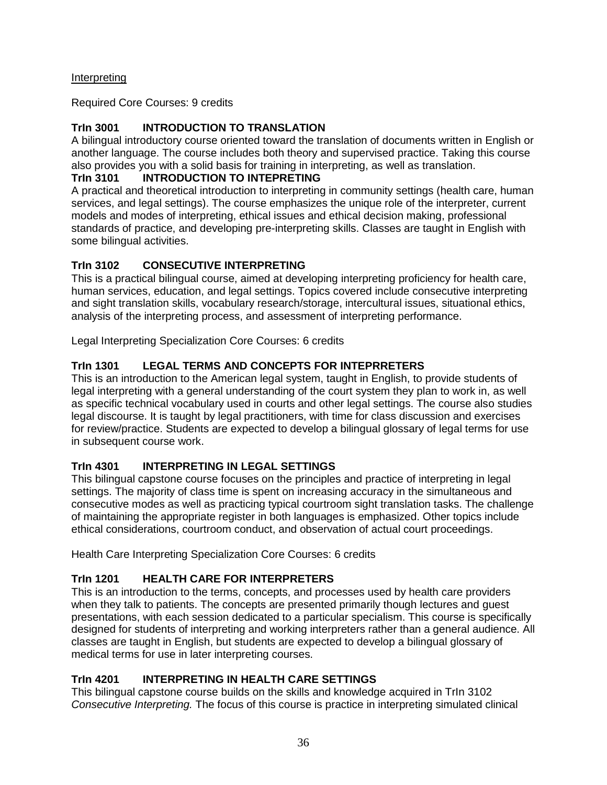### Interpreting

Required Core Courses: 9 credits

## **TrIn 3001 INTRODUCTION TO TRANSLATION**

A bilingual introductory course oriented toward the translation of documents written in English or another language. The course includes both theory and supervised practice. Taking this course also provides you with a solid basis for training in interpreting, as well as translation.

### **TrIn 3101 INTRODUCTION TO INTEPRETING**

A practical and theoretical introduction to interpreting in community settings (health care, human services, and legal settings). The course emphasizes the unique role of the interpreter, current models and modes of interpreting, ethical issues and ethical decision making, professional standards of practice, and developing pre-interpreting skills. Classes are taught in English with some bilingual activities.

## **TrIn 3102 CONSECUTIVE INTERPRETING**

This is a practical bilingual course, aimed at developing interpreting proficiency for health care, human services, education, and legal settings. Topics covered include consecutive interpreting and sight translation skills, vocabulary research/storage, intercultural issues, situational ethics, analysis of the interpreting process, and assessment of interpreting performance.

Legal Interpreting Specialization Core Courses: 6 credits

## **TrIn 1301 LEGAL TERMS AND CONCEPTS FOR INTEPRRETERS**

This is an introduction to the American legal system, taught in English, to provide students of legal interpreting with a general understanding of the court system they plan to work in, as well as specific technical vocabulary used in courts and other legal settings. The course also studies legal discourse. It is taught by legal practitioners, with time for class discussion and exercises for review/practice. Students are expected to develop a bilingual glossary of legal terms for use in subsequent course work.

## **TrIn 4301 INTERPRETING IN LEGAL SETTINGS**

This bilingual capstone course focuses on the principles and practice of interpreting in legal settings. The majority of class time is spent on increasing accuracy in the simultaneous and consecutive modes as well as practicing typical courtroom sight translation tasks. The challenge of maintaining the appropriate register in both languages is emphasized. Other topics include ethical considerations, courtroom conduct, and observation of actual court proceedings.

Health Care Interpreting Specialization Core Courses: 6 credits

## **TrIn 1201 HEALTH CARE FOR INTERPRETERS**

This is an introduction to the terms, concepts, and processes used by health care providers when they talk to patients. The concepts are presented primarily though lectures and guest presentations, with each session dedicated to a particular specialism. This course is specifically designed for students of interpreting and working interpreters rather than a general audience. All classes are taught in English, but students are expected to develop a bilingual glossary of medical terms for use in later interpreting courses.

## **TrIn 4201 INTERPRETING IN HEALTH CARE SETTINGS**

This bilingual capstone course builds on the skills and knowledge acquired in TrIn 3102 *Consecutive Interpreting.* The focus of this course is practice in interpreting simulated clinical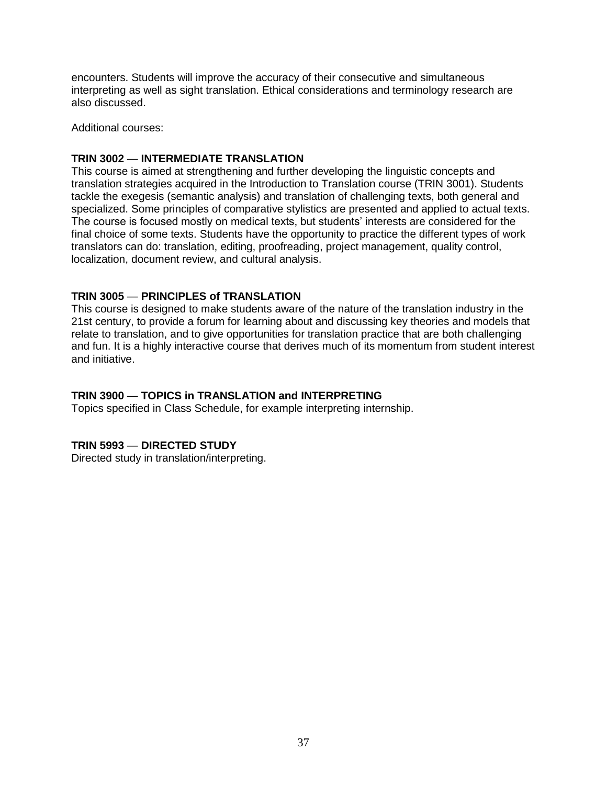encounters. Students will improve the accuracy of their consecutive and simultaneous interpreting as well as sight translation. Ethical considerations and terminology research are also discussed.

Additional courses:

#### **TRIN 3002** — **INTERMEDIATE TRANSLATION**

This course is aimed at strengthening and further developing the linguistic concepts and translation strategies acquired in the Introduction to Translation course (TRIN 3001). Students tackle the exegesis (semantic analysis) and translation of challenging texts, both general and specialized. Some principles of comparative stylistics are presented and applied to actual texts. The course is focused mostly on medical texts, but students' interests are considered for the final choice of some texts. Students have the opportunity to practice the different types of work translators can do: translation, editing, proofreading, project management, quality control, localization, document review, and cultural analysis.

#### **TRIN 3005** — **PRINCIPLES of TRANSLATION**

This course is designed to make students aware of the nature of the translation industry in the 21st century, to provide a forum for learning about and discussing key theories and models that relate to translation, and to give opportunities for translation practice that are both challenging and fun. It is a highly interactive course that derives much of its momentum from student interest and initiative.

#### **TRIN 3900** — **TOPICS in TRANSLATION and INTERPRETING**

Topics specified in Class Schedule, for example interpreting internship.

#### **TRIN 5993** — **DIRECTED STUDY**

Directed study in translation/interpreting.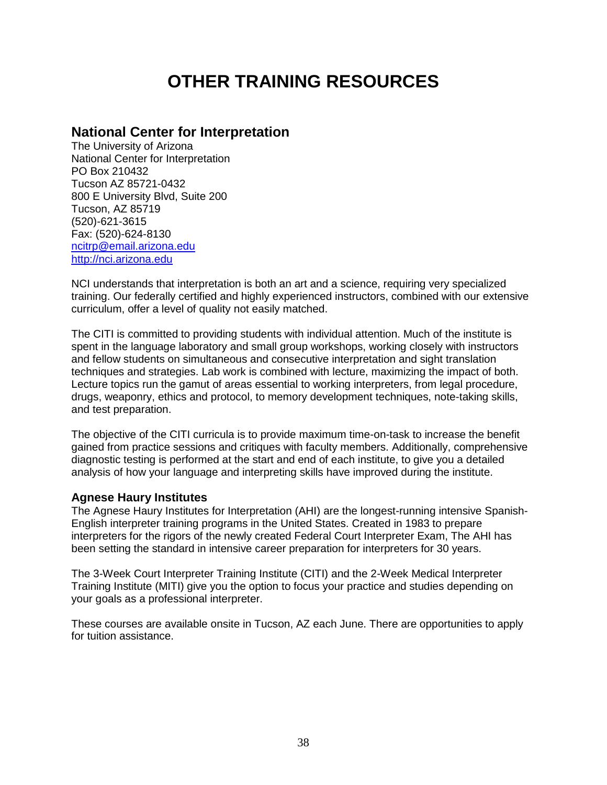# **OTHER TRAINING RESOURCES**

## **National Center for Interpretation**

The University of Arizona National Center for Interpretation PO Box 210432 Tucson AZ 85721-0432 800 E University Blvd, Suite 200 Tucson, AZ 85719 (520)-621-3615 Fax: (520)-624-8130 [ncitrp@email.arizona.edu](mailto:ncitrp@email.arizona.edu) [http://nci.arizona.edu](http://nci.arizona.edu/)

NCI understands that interpretation is both an art and a science, requiring very specialized training. Our federally certified and highly experienced instructors, combined with our extensive curriculum, offer a level of quality not easily matched.

The CITI is committed to providing students with individual attention. Much of the institute is spent in the language laboratory and small group workshops, working closely with instructors and fellow students on simultaneous and consecutive interpretation and sight translation techniques and strategies. Lab work is combined with lecture, maximizing the impact of both. Lecture topics run the gamut of areas essential to working interpreters, from legal procedure, drugs, weaponry, ethics and protocol, to memory development techniques, note-taking skills, and test preparation.

The objective of the CITI curricula is to provide maximum time-on-task to increase the benefit gained from practice sessions and critiques with faculty members. Additionally, comprehensive diagnostic testing is performed at the start and end of each institute, to give you a detailed analysis of how your language and interpreting skills have improved during the institute.

### **Agnese Haury Institutes**

The Agnese Haury Institutes for Interpretation (AHI) are the longest-running intensive Spanish-English interpreter training programs in the United States. Created in 1983 to prepare interpreters for the rigors of the newly created Federal Court Interpreter Exam, The AHI has been setting the standard in intensive career preparation for interpreters for 30 years.

The 3-Week Court Interpreter Training Institute (CITI) and the 2-Week Medical Interpreter Training Institute (MITI) give you the option to focus your practice and studies depending on your goals as a professional interpreter.

These courses are available onsite in Tucson, AZ each June. There are opportunities to apply for tuition assistance.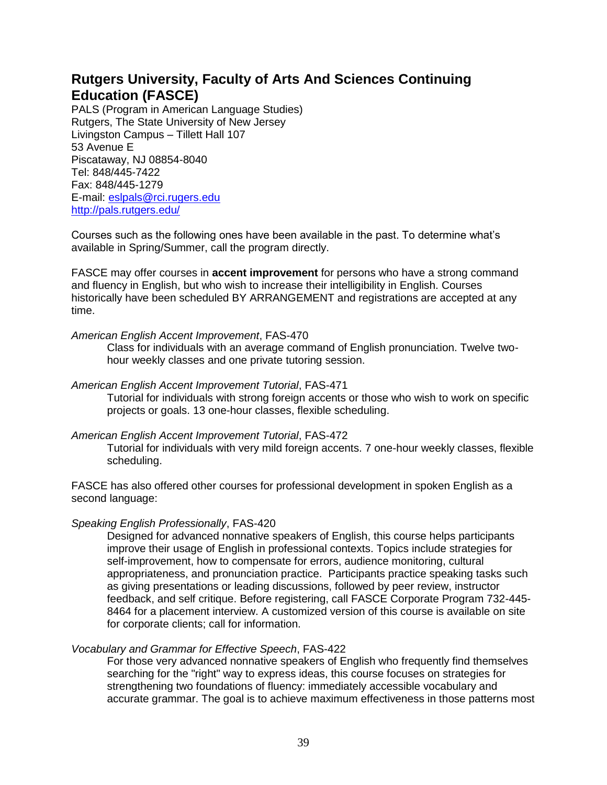## **Rutgers University, Faculty of Arts And Sciences Continuing Education (FASCE)**

PALS (Program in American Language Studies) Rutgers, The State University of New Jersey Livingston Campus – Tillett Hall 107 53 Avenue E Piscataway, NJ 08854-8040 Tel: 848/445-7422 Fax: 848/445-1279 E-mail: [eslpals@rci.rugers.edu](mailto:eslpals@rci.rugers.edu) <http://pals.rutgers.edu/>

Courses such as the following ones have been available in the past. To determine what's available in Spring/Summer, call the program directly.

FASCE may offer courses in **accent improvement** for persons who have a strong command and fluency in English, but who wish to increase their intelligibility in English. Courses historically have been scheduled BY ARRANGEMENT and registrations are accepted at any time.

#### *American English Accent Improvement*, FAS-470

Class for individuals with an average command of English pronunciation. Twelve twohour weekly classes and one private tutoring session.

#### *American English Accent Improvement Tutorial*, FAS-471

Tutorial for individuals with strong foreign accents or those who wish to work on specific projects or goals. 13 one-hour classes, flexible scheduling.

#### *American English Accent Improvement Tutorial*, FAS-472

Tutorial for individuals with very mild foreign accents. 7 one-hour weekly classes, flexible scheduling.

FASCE has also offered other courses for professional development in spoken English as a second language:

#### *Speaking English Professionally*, FAS-420

Designed for advanced nonnative speakers of English, this course helps participants improve their usage of English in professional contexts. Topics include strategies for self-improvement, how to compensate for errors, audience monitoring, cultural appropriateness, and pronunciation practice. Participants practice speaking tasks such as giving presentations or leading discussions, followed by peer review, instructor feedback, and self critique. Before registering, call FASCE Corporate Program 732-445- 8464 for a placement interview. A customized version of this course is available on site for corporate clients; call for information.

#### *Vocabulary and Grammar for Effective Speech*, FAS-422

For those very advanced nonnative speakers of English who frequently find themselves searching for the "right" way to express ideas, this course focuses on strategies for strengthening two foundations of fluency: immediately accessible vocabulary and accurate grammar. The goal is to achieve maximum effectiveness in those patterns most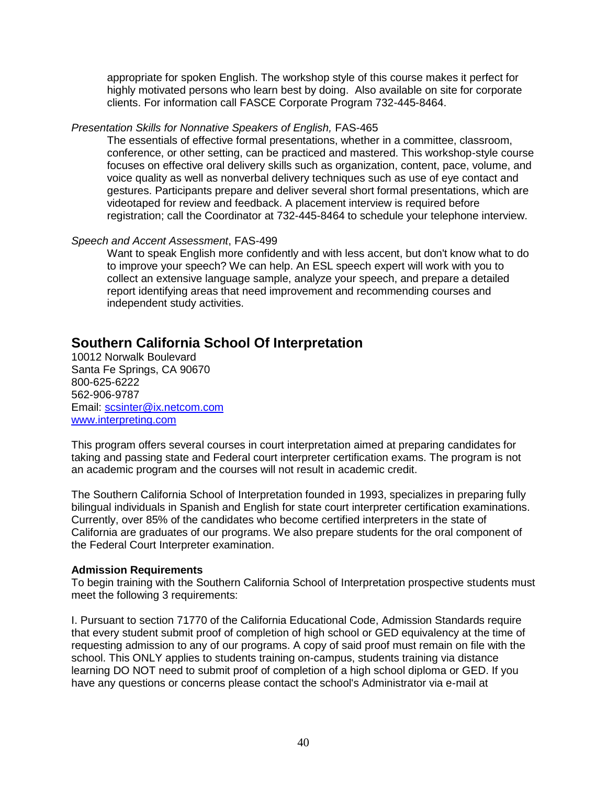appropriate for spoken English. The workshop style of this course makes it perfect for highly motivated persons who learn best by doing. Also available on site for corporate clients. For information call FASCE Corporate Program 732-445-8464.

#### *Presentation Skills for Nonnative Speakers of English,* FAS-465

The essentials of effective formal presentations, whether in a committee, classroom, conference, or other setting, can be practiced and mastered. This workshop-style course focuses on effective oral delivery skills such as organization, content, pace, volume, and voice quality as well as nonverbal delivery techniques such as use of eye contact and gestures. Participants prepare and deliver several short formal presentations, which are videotaped for review and feedback. A placement interview is required before registration; call the Coordinator at 732-445-8464 to schedule your telephone interview.

#### *Speech and Accent Assessment*, FAS-499

Want to speak English more confidently and with less accent, but don't know what to do to improve your speech? We can help. An ESL speech expert will work with you to collect an extensive language sample, analyze your speech, and prepare a detailed report identifying areas that need improvement and recommending courses and independent study activities.

## **Southern California School Of Interpretation**

10012 Norwalk Boulevard Santa Fe Springs, CA 90670 800-625-6222 562-906-9787 Email: [scsinter@ix.netcom.com](mailto:scsinter@ix.netcom.com) [www.interpreting.com](http://www.interpreting.com/)

This program offers several courses in court interpretation aimed at preparing candidates for taking and passing state and Federal court interpreter certification exams. The program is not an academic program and the courses will not result in academic credit.

The Southern California School of Interpretation founded in 1993, specializes in preparing fully bilingual individuals in Spanish and English for state court interpreter certification examinations. Currently, over 85% of the candidates who become certified interpreters in the state of California are graduates of our programs. We also prepare students for the oral component of the Federal Court Interpreter examination.

#### **Admission Requirements**

To begin training with the Southern California School of Interpretation prospective students must meet the following 3 requirements:

I. Pursuant to section 71770 of the California Educational Code, Admission Standards require that every student submit proof of completion of high school or GED equivalency at the time of requesting admission to any of our programs. A copy of said proof must remain on file with the school. This ONLY applies to students training on-campus, students training via distance learning DO NOT need to submit proof of completion of a high school diploma or GED. If you have any questions or concerns please contact the school's Administrator via e-mail at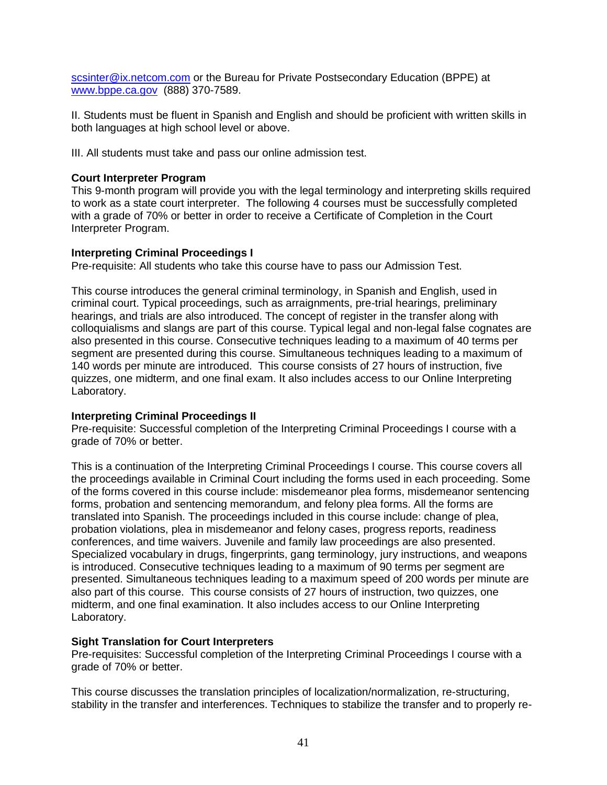[scsinter@ix.netcom.com](mailto:scsinter@ix.netcom.com) or the Bureau for Private Postsecondary Education (BPPE) at [www.bppe.ca.gov](http://www.bppe.ca.gov/) (888) 370-7589.

II. Students must be fluent in Spanish and English and should be proficient with written skills in both languages at high school level or above.

III. All students must take and pass our online admission test.

#### **Court Interpreter Program**

This 9-month program will provide you with the legal terminology and interpreting skills required to work as a state court interpreter. The following 4 courses must be successfully completed with a grade of 70% or better in order to receive a Certificate of Completion in the Court Interpreter Program.

#### **Interpreting Criminal Proceedings I**

Pre-requisite: All students who take this course have to pass our Admission Test.

This course introduces the general criminal terminology, in Spanish and English, used in criminal court. Typical proceedings, such as arraignments, pre-trial hearings, preliminary hearings, and trials are also introduced. The concept of register in the transfer along with colloquialisms and slangs are part of this course. Typical legal and non-legal false cognates are also presented in this course. Consecutive techniques leading to a maximum of 40 terms per segment are presented during this course. Simultaneous techniques leading to a maximum of 140 words per minute are introduced. This course consists of 27 hours of instruction, five quizzes, one midterm, and one final exam. It also includes access to our Online Interpreting Laboratory.

#### **Interpreting Criminal Proceedings II**

Pre-requisite: Successful completion of the Interpreting Criminal Proceedings I course with a grade of 70% or better.

This is a continuation of the Interpreting Criminal Proceedings I course. This course covers all the proceedings available in Criminal Court including the forms used in each proceeding. Some of the forms covered in this course include: misdemeanor plea forms, misdemeanor sentencing forms, probation and sentencing memorandum, and felony plea forms. All the forms are translated into Spanish. The proceedings included in this course include: change of plea, probation violations, plea in misdemeanor and felony cases, progress reports, readiness conferences, and time waivers. Juvenile and family law proceedings are also presented. Specialized vocabulary in drugs, fingerprints, gang terminology, jury instructions, and weapons is introduced. Consecutive techniques leading to a maximum of 90 terms per segment are presented. Simultaneous techniques leading to a maximum speed of 200 words per minute are also part of this course. This course consists of 27 hours of instruction, two quizzes, one midterm, and one final examination. It also includes access to our Online Interpreting Laboratory.

#### **Sight Translation for Court Interpreters**

Pre-requisites: Successful completion of the Interpreting Criminal Proceedings I course with a grade of 70% or better.

This course discusses the translation principles of localization/normalization, re-structuring, stability in the transfer and interferences. Techniques to stabilize the transfer and to properly re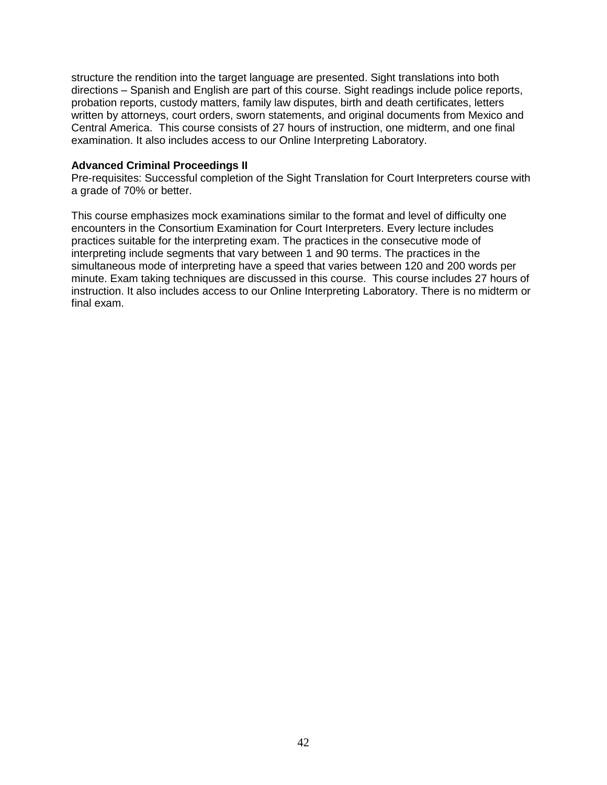structure the rendition into the target language are presented. Sight translations into both directions – Spanish and English are part of this course. Sight readings include police reports, probation reports, custody matters, family law disputes, birth and death certificates, letters written by attorneys, court orders, sworn statements, and original documents from Mexico and Central America. This course consists of 27 hours of instruction, one midterm, and one final examination. It also includes access to our Online Interpreting Laboratory.

#### **Advanced Criminal Proceedings II**

Pre-requisites: Successful completion of the Sight Translation for Court Interpreters course with a grade of 70% or better.

This course emphasizes mock examinations similar to the format and level of difficulty one encounters in the Consortium Examination for Court Interpreters. Every lecture includes practices suitable for the interpreting exam. The practices in the consecutive mode of interpreting include segments that vary between 1 and 90 terms. The practices in the simultaneous mode of interpreting have a speed that varies between 120 and 200 words per minute. Exam taking techniques are discussed in this course. This course includes 27 hours of instruction. It also includes access to our Online Interpreting Laboratory. There is no midterm or final exam.